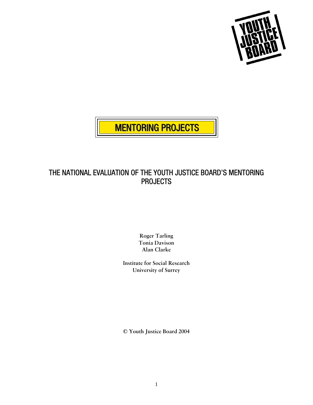



## THE NATIONAL EVALUATION OF THE YOUTH JUSTICE BOARD'S MENTORING PROJECTS

**Roger Tarling Tonia Davison Alan Clarke** 

**Institute for Social Research University of Surrey** 

**© Youth Justice Board 2004**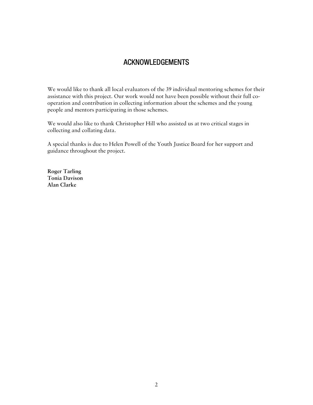## ACKNOWLEDGEMENTS

We would like to thank all local evaluators of the 39 individual mentoring schemes for their assistance with this project. Our work would not have been possible without their full cooperation and contribution in collecting information about the schemes and the young people and mentors participating in those schemes.

We would also like to thank Christopher Hill who assisted us at two critical stages in collecting and collating data.

A special thanks is due to Helen Powell of the Youth Justice Board for her support and guidance throughout the project.

**Roger Tarling Tonia Davison Alan Clarke**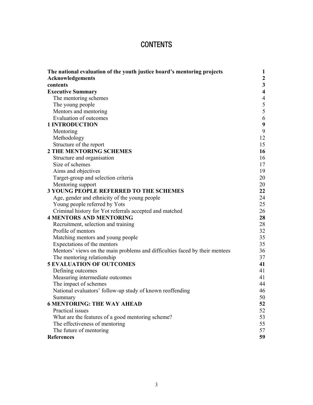# **CONTENTS**

| The national evaluation of the youth justice board's mentoring projects     | 1                       |
|-----------------------------------------------------------------------------|-------------------------|
| Acknowledgements                                                            | $\boldsymbol{2}$        |
| contents                                                                    | $\mathbf{3}$            |
| <b>Executive Summary</b>                                                    | $\overline{\mathbf{4}}$ |
| The mentoring schemes                                                       | $\overline{4}$          |
| The young people                                                            |                         |
| Mentors and mentoring                                                       | $rac{5}{5}$             |
| Evaluation of outcomes                                                      | 6                       |
| <b>1 INTRODUCTION</b>                                                       | $\boldsymbol{9}$        |
| Mentoring                                                                   | 9                       |
| Methodology                                                                 | 12                      |
| Structure of the report                                                     | 15                      |
| <b>2 THE MENTORING SCHEMES</b>                                              | 16                      |
| Structure and organisation                                                  | 16                      |
| Size of schemes                                                             | 17                      |
| Aims and objectives                                                         | 19                      |
| Target-group and selection criteria                                         | 20                      |
| Mentoring support                                                           | 20                      |
| <b>3 YOUNG PEOPLE REFERRED TO THE SCHEMES</b>                               | 22                      |
| Age, gender and ethnicity of the young people                               | 24                      |
| Young people referred by Yots                                               | 25                      |
| Criminal history for Yot referrals accepted and matched                     | 26                      |
| <b>4 MENTORS AND MENTORING</b>                                              | 28                      |
| Recruitment, selection and training                                         | 28                      |
| Profile of mentors                                                          | 32                      |
| Matching mentors and young people                                           | 35                      |
| Expectations of the mentors                                                 | 35                      |
| Mentors' views on the main problems and difficulties faced by their mentees | 36                      |
| The mentoring relationship                                                  | 37                      |
| <b>5 EVALUATION OF OUTCOMES</b>                                             | 41                      |
| Defining outcomes                                                           | 41                      |
| Measuring intermediate outcomes                                             | 41                      |
| The impact of schemes                                                       | 44                      |
| National evaluators' follow-up study of known reoffending                   | 46                      |
| Summary                                                                     | 50                      |
| <b>6 MENTORING: THE WAY AHEAD</b>                                           | 52                      |
| Practical issues                                                            | 52                      |
| What are the features of a good mentoring scheme?                           | 53                      |
| The effectiveness of mentoring                                              | 55                      |
| The future of mentoring                                                     | 57                      |
| <b>References</b>                                                           | 59                      |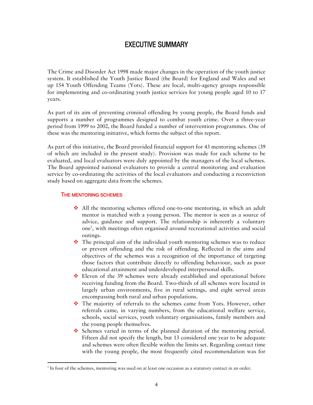## EXECUTIVE SUMMARY

The Crime and Disorder Act 1998 made major changes in the operation of the youth justice system. It established the Youth Justice Board (the Board) for England and Wales and set up 154 Youth Offending Teams (Yots). These are local, multi-agency groups responsible for implementing and co-ordinating youth justice services for young people aged 10 to 17 years.

As part of its aim of preventing criminal offending by young people, the Board funds and supports a number of programmes designed to combat youth crime. Over a three-year period from 1999 to 2002, the Board funded a number of intervention programmes. One of these was the mentoring initiative, which forms the subject of this report.

As part of this initiative, the Board provided financial support for 43 mentoring schemes (39 of which are included in the present study). Provision was made for each scheme to be evaluated, and local evaluators were duly appointed by the managers of the local schemes. The Board appointed national evaluators to provide a central monitoring and evaluation service by co-ordinating the activities of the local evaluators and conducting a reconviction study based on aggregate data from the schemes.

#### THE MENTORING SCHEMES

 $\overline{a}$ 

- All the mentoring schemes offered one-to-one mentoring, in which an adult mentor is matched with a young person. The mentor is seen as a source of advice, guidance and support. The relationship is inherently a voluntary one1 , with meetings often organised around recreational activities and social outings.
- The principal aim of the individual youth mentoring schemes was to reduce or prevent offending and the risk of offending. Reflected in the aims and objectives of the schemes was a recognition of the importance of targeting those factors that contribute directly to offending behaviour, such as poor educational attainment and underdeveloped interpersonal skills.
- Eleven of the 39 schemes were already established and operational before receiving funding from the Board. Two-thirds of all schemes were located in largely urban environments, five in rural settings, and eight served areas encompassing both rural and urban populations.
- \* The majority of referrals to the schemes came from Yots. However, other referrals came, in varying numbers, from the educational welfare service, schools, social services, youth voluntary organisations, family members and the young people themselves.
- Schemes varied in terms of the planned duration of the mentoring period. Fifteen did not specify the length, but 13 considered one year to be adequate and schemes were often flexible within the limits set. Regarding contact time with the young people, the most frequently cited recommendation was for

<sup>&</sup>lt;sup>1</sup> In four of the schemes, mentoring was used on at least one occasion as a statutory contact in an order.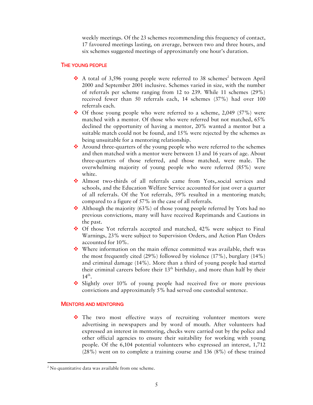weekly meetings. Of the 23 schemes recommending this frequency of contact, 17 favoured meetings lasting, on average, between two and three hours, and six schemes suggested meetings of approximately one hour's duration.

#### THE YOUNG PEOPLE

- $\cdot$  A total of 3,596 young people were referred to 38 schemes<sup>2</sup> between April 2000 and September 2001 inclusive. Schemes varied in size, with the number of referrals per scheme ranging from 12 to 239. While 11 schemes (29%) received fewer than 50 referrals each, 14 schemes (37%) had over 100 referrals each.
- $\div$  Of those young people who were referred to a scheme, 2,049 (57%) were matched with a mentor. Of those who were referred but not matched, 65% declined the opportunity of having a mentor, 20% wanted a mentor but a suitable match could not be found, and 15% were rejected by the schemes as being unsuitable for a mentoring relationship.
- Around three-quarters of the young people who were referred to the schemes and then matched with a mentor were between 13 and 16 years of age. About three-quarters of those referred, and those matched, were male. The overwhelming majority of young people who were referred (85%) were white.
- Almost two-thirds of all referrals came from Yots,.social services and schools, and the Education Welfare Service accounted for just over a quarter of all referrals. Of the Yot referrals, 59% resulted in a mentoring match; compared to a figure of 57% in the case of all referrals.
- Although the majority  $(63\%)$  of those young people referred by Yots had no previous convictions, many will have received Reprimands and Cautions in the past.
- $\div$  Of those Yot referrals accepted and matched, 42% were subject to Final Warnings, 23% were subject to Supervision Orders, and Action Plan Orders accounted for 10%.
- $\bullet$  Where information on the main offence committed was available, theft was the most frequently cited (29%) followed by violence (17%), burglary (14%) and criminal damage (14%). More than a third of young people had started their criminal careers before their  $13<sup>th</sup>$  birthday, and more than half by their  $14<sup>th</sup>$ .
- Slightly over 10% of young people had received five or more previous convictions and approximately 5% had served one custodial sentence.

#### MENTORS AND MENTORING

\* The two most effective ways of recruiting volunteer mentors were advertising in newspapers and by word of mouth. After volunteers had expressed an interest in mentoring, checks were carried out by the police and other official agencies to ensure their suitability for working with young people. Of the 6,104 potential volunteers who expressed an interest, 1,712 (28%) went on to complete a training course and 136 (8%) of these trained

 $\overline{a}$ 

 $2$  No quantitative data was available from one scheme.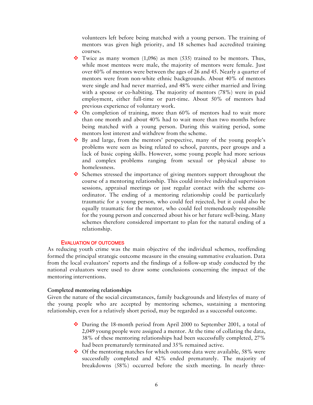volunteers left before being matched with a young person. The training of mentors was given high priority, and 18 schemes had accredited training courses.

- Twice as many women  $(1,096)$  as men  $(535)$  trained to be mentors. Thus, while most mentees were male, the majority of mentors were female. Just over 60% of mentors were between the ages of 26 and 45. Nearly a quarter of mentors were from non-white ethnic backgrounds. About 40% of mentors were single and had never married, and 48% were either married and living with a spouse or co-habiting. The majority of mentors (78%) were in paid employment, either full-time or part-time. About 50% of mentors had previous experience of voluntary work.
- $\cdot$  On completion of training, more than 60% of mentors had to wait more than one month and about 40% had to wait more than two months before being matched with a young person. During this waiting period, some mentors lost interest and withdrew from the scheme.
- $\bullet$  By and large, from the mentors' perspective, many of the young people's problems were seen as being related to school, parents, peer groups and a lack of basic coping skills. However, some young people had more serious and complex problems ranging from sexual or physical abuse to homelessness.
- $\bullet$  Schemes stressed the importance of giving mentors support throughout the course of a mentoring relationship. This could involve individual supervision sessions, appraisal meetings or just regular contact with the scheme coordinator. The ending of a mentoring relationship could be particularly traumatic for a young person, who could feel rejected, but it could also be equally traumatic for the mentor, who could feel tremendously responsible for the young person and concerned about his or her future well-being. Many schemes therefore considered important to plan for the natural ending of a relationship.

#### EVALUATION OF OUTCOMES

As reducing youth crime was the main objective of the individual schemes, reoffending formed the principal strategic outcome measure in the ensuing summative evaluation. Data from the local evaluators' reports and the findings of a follow-up study conducted by the national evaluators were used to draw some conclusions concerning the impact of the mentoring interventions.

#### **Completed mentoring relationships**

Given the nature of the social circumstances, family backgrounds and lifestyles of many of the young people who are accepted by mentoring schemes, sustaining a mentoring relationship, even for a relatively short period, may be regarded as a successful outcome.

- During the 18-month period from April 2000 to September 2001, a total of 2,049 young people were assigned a mentor. At the time of collating the data, 38% of these mentoring relationships had been successfully completed, 27% had been prematurely terminated and 35% remained active.
- ◆ Of the mentoring matches for which outcome data were available, 58% were successfully completed and 42% ended prematurely. The majority of breakdowns (58%) occurred before the sixth meeting. In nearly three-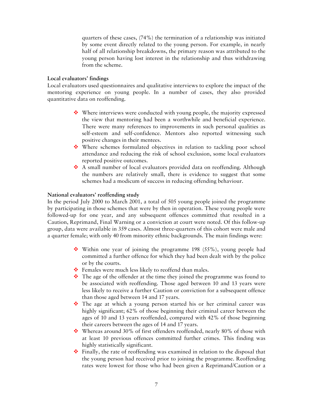quarters of these cases, (74%) the termination of a relationship was initiated by some event directly related to the young person. For example, in nearly half of all relationship breakdowns, the primary reason was attributed to the young person having lost interest in the relationship and thus withdrawing from the scheme.

## **Local evaluators' findings**

Local evaluators used questionnaires and qualitative interviews to explore the impact of the mentoring experience on young people. In a number of cases, they also provided quantitative data on reoffending.

- $\cdot \cdot$  Where interviews were conducted with young people, the majority expressed the view that mentoring had been a worthwhile and beneficial experience. There were many references to improvements in such personal qualities as self-esteem and self-confidence. Mentors also reported witnessing such positive changes in their mentees.
- Where schemes formulated objectives in relation to tackling poor school attendance and reducing the risk of school exclusion, some local evaluators reported positive outcomes.
- A small number of local evaluators provided data on reoffending. Although the numbers are relatively small, there is evidence to suggest that some schemes had a modicum of success in reducing offending behaviour.

## **National evaluators' reoffending study**

In the period July 2000 to March 2001, a total of 505 young people joined the programme by participating in those schemes that were by then in operation. These young people were followed-up for one year, and any subsequent offences committed that resulted in a Caution, Reprimand, Final Warning or a conviction at court were noted. Of this follow-up group, data were available in 359 cases. Almost three-quarters of this cohort were male and a quarter female; with only 40 from minority ethnic backgrounds. The main findings were:

- $\cdot$  Within one year of joining the programme 198 (55%), young people had committed a further offence for which they had been dealt with by the police or by the courts.
- Females were much less likely to reoffend than males.
- $\bullet$  The age of the offender at the time they joined the programme was found to be associated with reoffending. Those aged between 10 and 13 years were less likely to receive a further Caution or conviction for a subsequent offence than those aged between 14 and 17 years.
- \* The age at which a young person started his or her criminal career was highly significant; 62% of those beginning their criminal career between the ages of 10 and 13 years reoffended, compared with 42% of those beginning their careers between the ages of 14 and 17 years.
- Whereas around 30% of first offenders reoffended, nearly 80% of those with at least 10 previous offences committed further crimes. This finding was highly statistically significant.
- $\div$  Finally, the rate of reoffending was examined in relation to the disposal that the young person had received prior to joining the programme. Reoffending rates were lowest for those who had been given a Reprimand/Caution or a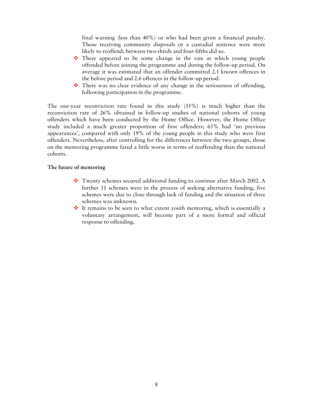final warning (less than 40%) or who had been given a financial penalty. Those receiving community disposals or a custodial sentence were more likely to reoffend; between two-thirds and four-fifths did so.

- There appeared to be some change in the rate at which young people offended before joining the programme and during the follow-up period. On average it was estimated that an offender committed 2.1 known offences in the before period and 2.6 offences in the follow-up period.
- $\cdot \cdot$  There was no clear evidence of any change in the seriousness of offending, following participation in the programme.

The one-year reconviction rate found in this study (55%) is much higher than the reconviction rate of 26% obtained in follow-up studies of national cohorts of young offenders which have been conducted by the Home Office. However, the Home Office study included a much greater proportion of first offenders; 65% had 'no previous appearances', compared with only 19% of the young people in this study who were first offenders. Nevertheless, after controlling for the differences between the two groups, those on the mentoring programme fared a little worse in terms of reoffending than the national cohorts.

## **The future of mentoring**

- Twenty schemes secured additional funding to continue after March 2002. A further 11 schemes were in the process of seeking alternative funding, five schemes were due to close through lack of funding and the situation of three schemes was unknown.
- It remains to be seen to what extent youth mentoring, which is essentially a voluntary arrangement, will become part of a more formal and official response to offending.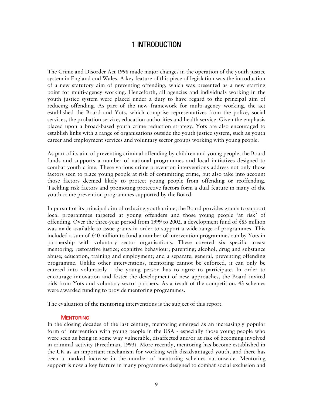## 1 INTRODUCTION

The Crime and Disorder Act 1998 made major changes in the operation of the youth justice system in England and Wales. A key feature of this piece of legislation was the introduction of a new statutory aim of preventing offending, which was presented as a new starting point for multi-agency working. Henceforth, all agencies and individuals working in the youth justice system were placed under a duty to have regard to the principal aim of reducing offending. As part of the new framework for multi-agency working, the act established the Board and Yots, which comprise representatives from the police, social services, the probation service, education authorities and health service. Given the emphasis placed upon a broad-based youth crime reduction strategy, Yots are also encouraged to establish links with a range of organisations outside the youth justice system, such as youth career and employment services and voluntary sector groups working with young people.

As part of its aim of preventing criminal offending by children and young people, the Board funds and supports a number of national programmes and local initiatives designed to combat youth crime. These various crime prevention interventions address not only those factors seen to place young people at risk of committing crime, but also take into account those factors deemed likely to protect young people from offending or reoffending. Tackling risk factors and promoting protective factors form a dual feature in many of the youth crime prevention programmes supported by the Board.

In pursuit of its principal aim of reducing youth crime, the Board provides grants to support local programmes targeted at young offenders and those young people 'at risk' of offending. Over the three-year period from 1999 to 2002, a development fund of £85 million was made available to issue grants in order to support a wide range of programmes. This included a sum of  $\text{\pounds}40$  million to fund a number of intervention programmes run by Yots in partnership with voluntary sector organisations. These covered six specific areas: mentoring; restorative justice; cognitive behaviour; parenting; alcohol, drug and substance abuse; education, training and employment; and a separate, general, preventing offending programme. Unlike other interventions, mentoring cannot be enforced, it can only be entered into voluntarily - the young person has to agree to participate. In order to encourage innovation and foster the development of new approaches, the Board invited bids from Yots and voluntary sector partners. As a result of the competition, 43 schemes were awarded funding to provide mentoring programmes.

The evaluation of the mentoring interventions is the subject of this report.

#### **MENTORING**

In the closing decades of the last century, mentoring emerged as an increasingly popular form of intervention with young people in the USA - especially those young people who were seen as being in some way vulnerable, disaffected and/or at risk of becoming involved in criminal activity (Freedman, 1993). More recently, mentoring has become established in the UK as an important mechanism for working with disadvantaged youth, and there has been a marked increase in the number of mentoring schemes nationwide. Mentoring support is now a key feature in many programmes designed to combat social exclusion and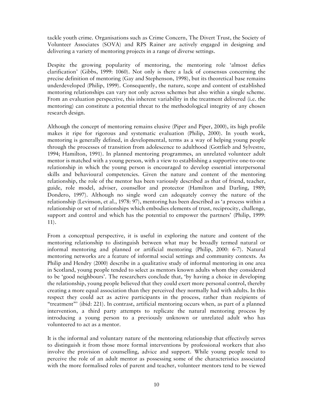tackle youth crime. Organisations such as Crime Concern, The Divert Trust, the Society of Volunteer Associates (SOVA) and RPS Rainer are actively engaged in designing and delivering a variety of mentoring projects in a range of diverse settings.

Despite the growing popularity of mentoring, the mentoring role 'almost defies clarification' (Gibbs, 1999: 1060). Not only is there a lack of consensus concerning the precise definition of mentoring (Gay and Stephenson, 1998), but its theoretical base remains underdeveloped (Philip, 1999). Consequently, the nature, scope and content of established mentoring relationships can vary not only across schemes but also within a single scheme. From an evaluation perspective, this inherent variability in the treatment delivered (i.e. the mentoring) can constitute a potential threat to the methodological integrity of any chosen research design.

Although the concept of mentoring remains elusive (Piper and Piper, 2000), its high profile makes it ripe for rigorous and systematic evaluation (Philip, 2000). In youth work, mentoring is generally defined, in developmental, terms as a way of helping young people through the processes of transition from adolescence to adulthood (Gottlieb and Sylvestre, 1994; Hamilton, 1991). In planned mentoring programmes, an unrelated volunteer adult mentor is matched with a young person, with a view to establishing a supportive one-to-one relationship in which the young person is encouraged to develop essential interpersonal skills and behavioural competencies. Given the nature and content of the mentoring relationship, the role of the mentor has been variously described as that of friend, teacher, guide, role model, adviser, counsellor and protector (Hamilton and Darling, 1989; Dondero, 1997). Although no single word can adequately convey the nature of the relationship (Levinson, et al., 1978: 97), mentoring has been described as 'a process within a relationship or set of relationships which embodies elements of trust, reciprocity, challenge, support and control and which has the potential to empower the partners' (Philip, 1999: 11).

From a conceptual perspective, it is useful in exploring the nature and content of the mentoring relationship to distinguish between what may be broadly termed natural or informal mentoring and planned or artificial mentoring (Philip, 2000: 6-7). Natural mentoring networks are a feature of informal social settings and community contexts. As Philip and Hendry (2000) describe in a qualitative study of informal mentoring in one area in Scotland, young people tended to select as mentors known adults whom they considered to be 'good neighbours'. The researchers conclude that, 'by having a choice in developing the relationship, young people believed that they could exert more personal control, thereby creating a more equal association than they perceived they normally had with adults. In this respect they could act as active participants in the process, rather than recipients of "treatment"' (ibid: 221). In contrast, artificial mentoring occurs when, as part of a planned intervention, a third party attempts to replicate the natural mentoring process by introducing a young person to a previously unknown or unrelated adult who has volunteered to act as a mentor.

It is the informal and voluntary nature of the mentoring relationship that effectively serves to distinguish it from those more formal interventions by professional workers that also involve the provision of counselling, advice and support. While young people tend to perceive the role of an adult mentor as possessing some of the characteristics associated with the more formalised roles of parent and teacher, volunteer mentors tend to be viewed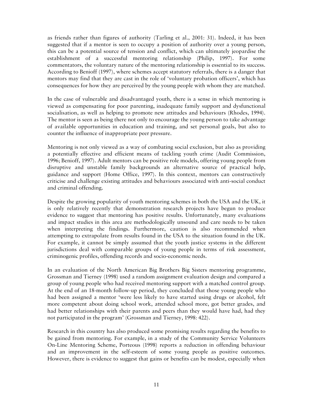as friends rather than figures of authority (Tarling et al., 2001: 31). Indeed, it has been suggested that if a mentor is seen to occupy a position of authority over a young person, this can be a potential source of tension and conflict, which can ultimately jeopardise the establishment of a successful mentoring relationship (Philip, 1997). For some commentators, the voluntary nature of the mentoring relationship is essential to its success. According to Benioff (1997), where schemes accept statutory referrals, there is a danger that mentors may find that they are cast in the role of 'voluntary probation officers', which has consequences for how they are perceived by the young people with whom they are matched.

In the case of vulnerable and disadvantaged youth, there is a sense in which mentoring is viewed as compensating for poor parenting, inadequate family support and dysfunctional socialisation, as well as helping to promote new attitudes and behaviours (Rhodes, 1994). The mentor is seen as being there not only to encourage the young person to take advantage of available opportunities in education and training, and set personal goals, but also to counter the influence of inappropriate peer pressure.

Mentoring is not only viewed as a way of combating social exclusion, but also as providing a potentially effective and efficient means of tackling youth crime (Audit Commission, 1996; Benioff, 1997). Adult mentors can be positive role models, offering young people from disruptive and unstable family backgrounds an alternative source of practical help, guidance and support (Home Office, 1997). In this context, mentors can constructively criticise and challenge existing attitudes and behaviours associated with anti-social conduct and criminal offending.

Despite the growing popularity of youth mentoring schemes in both the USA and the UK, it is only relatively recently that demonstration research projects have begun to produce evidence to suggest that mentoring has positive results. Unfortunately, many evaluations and impact studies in this area are methodologically unsound and care needs to be taken when interpreting the findings. Furthermore, caution is also recommended when attempting to extrapolate from results found in the USA to the situation found in the UK. For example, it cannot be simply assumed that the youth justice systems in the different jurisdictions deal with comparable groups of young people in terms of risk assessment, criminogenic profiles, offending records and socio-economic needs.

In an evaluation of the North American Big Brothers Big Sisters mentoring programme, Grossman and Tierney (1998) used a random assignment evaluation design and compared a group of young people who had received mentoring support with a matched control group. At the end of an 18-month follow-up period, they concluded that those young people who had been assigned a mentor 'were less likely to have started using drugs or alcohol, felt more competent about doing school work, attended school more, got better grades, and had better relationships with their parents and peers than they would have had, had they not participated in the program' (Grossman and Tierney, 1998: 422).

Research in this country has also produced some promising results regarding the benefits to be gained from mentoring. For example, in a study of the Community Service Volunteers On-Line Mentoring Scheme, Porteous (1998) reports a reduction in offending behaviour and an improvement in the self-esteem of some young people as positive outcomes. However, there is evidence to suggest that gains or benefits can be modest, especially when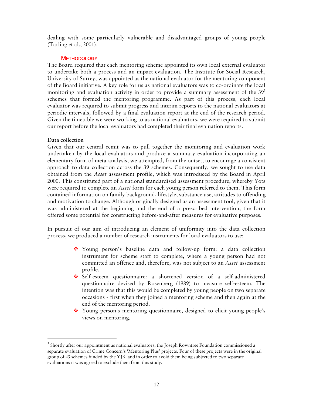dealing with some particularly vulnerable and disadvantaged groups of young people (Tarling et al., 2001).

## **METHODOLOGY**

The Board required that each mentoring scheme appointed its own local external evaluator to undertake both a process and an impact evaluation. The Institute for Social Research, University of Surrey, was appointed as the national evaluator for the mentoring component of the Board initiative. A key role for us as national evaluators was to co-ordinate the local monitoring and evaluation activity in order to provide a summary assessment of the  $39<sup>3</sup>$ schemes that formed the mentoring programme. As part of this process, each local evaluator was required to submit progress and interim reports to the national evaluators at periodic intervals, followed by a final evaluation report at the end of the research period. Given the timetable we were working to as national evaluators, we were required to submit our report before the local evaluators had completed their final evaluation reports.

## **Data collection**

 $\overline{a}$ 

Given that our central remit was to pull together the monitoring and evaluation work undertaken by the local evaluators and produce a summary evaluation incorporating an elementary form of meta-analysis, we attempted, from the outset, to encourage a consistent approach to data collection across the 39 schemes. Consequently, we sought to use data obtained from the *Asset* assessment profile, which was introduced by the Board in April 2000. This constituted part of a national standardised assessment procedure, whereby Yots were required to complete an *Asset* form for each young person referred to them. This form contained information on family background, lifestyle, substance use, attitudes to offending and motivation to change. Although originally designed as an assessment tool, given that it was administered at the beginning and the end of a prescribed intervention, the form offered some potential for constructing before-and-after measures for evaluative purposes.

In pursuit of our aim of introducing an element of uniformity into the data collection process, we produced a number of research instruments for local evaluators to use:

- Young person's baseline data and follow-up form: a data collection instrument for scheme staff to complete, where a young person had not committed an offence and, therefore, was not subject to an *Asset* assessment profile.
- Self-esteem questionnaire: a shortened version of a self-administered questionnaire devised by Rosenberg (1989) to measure self-esteem. The intention was that this would be completed by young people on two separate occasions - first when they joined a mentoring scheme and then again at the end of the mentoring period.
- Young person's mentoring questionnaire, designed to elicit young people's views on mentoring.

<sup>&</sup>lt;sup>3</sup> Shortly after our appointment as national evaluators, the Joseph Rowntree Foundation commissioned a separate evaluation of Crime Concern's 'Mentoring Plus' projects. Four of these projects were in the original group of 43 schemes funded by the YJB, and in order to avoid them being subjected to two separate evaluations it was agreed to exclude them from this study.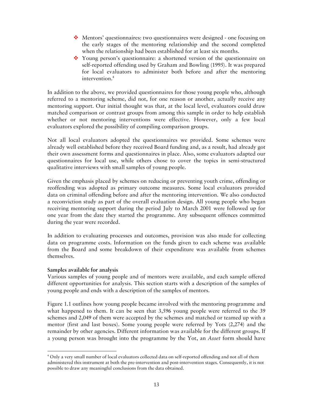- ◆ Mentors' questionnaires: two questionnaires were designed one focusing on the early stages of the mentoring relationship and the second completed when the relationship had been established for at least six months.
- Young person's questionnaire: a shortened version of the questionnaire on self-reported offending used by Graham and Bowling (1995). It was prepared for local evaluators to administer both before and after the mentoring intervention.<sup>4</sup>

In addition to the above, we provided questionnaires for those young people who, although referred to a mentoring scheme, did not, for one reason or another, actually receive any mentoring support. Our initial thought was that, at the local level, evaluators could draw matched comparison or contrast groups from among this sample in order to help establish whether or not mentoring interventions were effective. However, only a few local evaluators explored the possibility of compiling comparison groups.

Not all local evaluators adopted the questionnaires we provided. Some schemes were already well established before they received Board funding and, as a result, had already got their own assessment forms and questionnaires in place. Also, some evaluators adapted our questionnaires for local use, while others chose to cover the topics in semi-structured qualitative interviews with small samples of young people.

Given the emphasis placed by schemes on reducing or preventing youth crime, offending or reoffending was adopted as primary outcome measures. Some local evaluators provided data on criminal offending before and after the mentoring intervention. We also conducted a reconviction study as part of the overall evaluation design. All young people who began receiving mentoring support during the period July to March 2001 were followed up for one year from the date they started the programme. Any subsequent offences committed during the year were recorded.

In addition to evaluating processes and outcomes, provision was also made for collecting data on programme costs. Information on the funds given to each scheme was available from the Board and some breakdown of their expenditure was available from schemes themselves.

## **Samples available for analysis**

 $\overline{a}$ 

Various samples of young people and of mentors were available, and each sample offered different opportunities for analysis. This section starts with a description of the samples of young people and ends with a description of the samples of mentors.

Figure 1.1 outlines how young people became involved with the mentoring programme and what happened to them. It can be seen that 3,596 young people were referred to the 39 schemes and 2,049 of them were accepted by the schemes and matched or teamed up with a mentor (first and last boxes). Some young people were referred by Yots (2,274) and the remainder by other agencies. Different information was available for the different groups. If a young person was brought into the programme by the Yot, an *Asset* form should have

<sup>4</sup> Only a very small number of local evaluators collected data on self-reported offending and not all of them administered this instrument at both the pre-intervention and post-intervention stages. Consequently, it is not possible to draw any meaningful conclusions from the data obtained.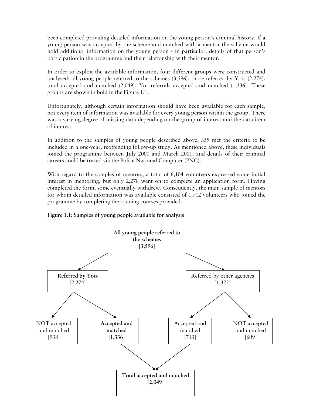been completed providing detailed information on the young person's criminal history. If a young person was accepted by the scheme and matched with a mentor the scheme would hold additional information on the young person - in particular, details of that person's participation in the programme and their relationship with their mentor.

In order to exploit the available information, four different groups were constructed and analysed: all young people referred to the schemes (3,596), those referred by Yots (2,274), total accepted and matched (2,049), Yot referrals accepted and matched (1,336). These groups are shown in bold in the Figure 1.1.

Unfortunately, although certain information should have been available for each sample, not every item of information was available for every young person within the group. There was a varying degree of missing data depending on the group of interest and the data item of interest.

In addition to the samples of young people described above, 359 met the criteria to be included in a one-year, reoffending follow-up study. As mentioned above, these individuals joined the programme between July 2000 and March 2001, and details of their criminal careers could be traced via the Police National Computer (PNC).

With regard to the samples of mentors, a total of 6,104 volunteers expressed some initial interest in mentoring, but only 2,278 went on to complete an application form. Having completed the form, some eventually withdrew. Consequently, the main sample of mentors for whom detailed information was available consisted of 1,712 volunteers who joined the programme by completing the training courses provided.



**Figure 1.1: Samples of young people available for analysis**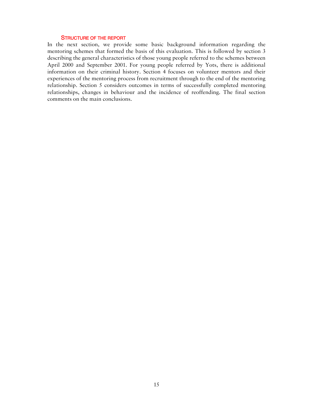#### STRUCTURE OF THE REPORT

In the next section, we provide some basic background information regarding the mentoring schemes that formed the basis of this evaluation. This is followed by section 3 describing the general characteristics of those young people referred to the schemes between April 2000 and September 2001. For young people referred by Yots, there is additional information on their criminal history. Section 4 focuses on volunteer mentors and their experiences of the mentoring process from recruitment through to the end of the mentoring relationship. Section 5 considers outcomes in terms of successfully completed mentoring relationships, changes in behaviour and the incidence of reoffending. The final section comments on the main conclusions.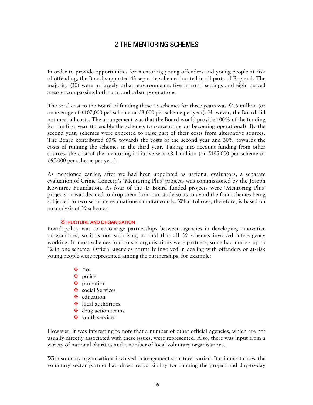## 2 THE MENTORING SCHEMES

In order to provide opportunities for mentoring young offenders and young people at risk of offending, the Board supported 43 separate schemes located in all parts of England. The majority (30) were in largely urban environments, five in rural settings and eight served areas encompassing both rural and urban populations.

The total cost to the Board of funding these 43 schemes for three years was £4.5 million (or on average of £107,000 per scheme or £3,000 per scheme per year). However, the Board did not meet all costs. The arrangement was that the Board would provide 100% of the funding for the first year (to enable the schemes to concentrate on becoming operational). By the second year, schemes were expected to raise part of their costs from alternative sources. The Board contributed 60% towards the costs of the second year and 30% towards the costs of running the schemes in the third year. Taking into account funding from other sources, the cost of the mentoring initiative was £8.4 million (or £195,000 per scheme or £65,000 per scheme per year).

As mentioned earlier, after we had been appointed as national evaluators, a separate evaluation of Crime Concern's 'Mentoring Plus' projects was commissioned by the Joseph Rowntree Foundation. As four of the 43 Board funded projects were 'Mentoring Plus' projects, it was decided to drop them from our study so as to avoid the four schemes being subjected to two separate evaluations simultaneously. What follows, therefore, is based on an analysis of 39 schemes.

#### STRUCTURE AND ORGANISATION

Board policy was to encourage partnerships between agencies in developing innovative programmes, so it is not surprising to find that all 39 schemes involved inter-agency working. In most schemes four to six organisations were partners; some had more - up to 12 in one scheme. Official agencies normally involved in dealing with offenders or at-risk young people were represented among the partnerships, for example:

- Yot
- police
- probation
- social Services
- $\bullet$  education
- local authorities
- ❖ drug action teams
- youth services

However, it was interesting to note that a number of other official agencies, which are not usually directly associated with these issues, were represented. Also, there was input from a variety of national charities and a number of local voluntary organisations.

With so many organisations involved, management structures varied. But in most cases, the voluntary sector partner had direct responsibility for running the project and day-to-day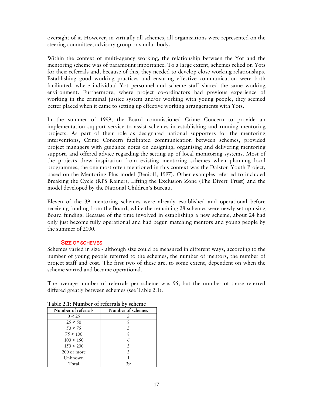oversight of it. However, in virtually all schemes, all organisations were represented on the steering committee, advisory group or similar body.

Within the context of multi-agency working, the relationship between the Yot and the mentoring scheme was of paramount importance. To a large extent, schemes relied on Yots for their referrals and, because of this, they needed to develop close working relationships. Establishing good working practices and ensuring effective communication were both facilitated, where individual Yot personnel and scheme staff shared the same working environment. Furthermore, where project co-ordinators had previous experience of working in the criminal justice system and/or working with young people, they seemed better placed when it came to setting up effective working arrangements with Yots.

In the summer of 1999, the Board commissioned Crime Concern to provide an implementation support service to assist schemes in establishing and running mentoring projects. As part of their role as designated national supporters for the mentoring interventions, Crime Concern facilitated communication between schemes, provided project managers with guidance notes on designing, organising and delivering mentoring support, and offered advice regarding the setting up of local monitoring systems. Most of the projects drew inspiration from existing mentoring schemes when planning local programmes; the one most often mentioned in this context was the Dalston Youth Project, based on the Mentoring Plus model (Benioff, 1997). Other examples referred to included Breaking the Cycle (RPS Rainer), Lifting the Exclusion Zone (The Divert Trust) and the model developed by the National Children's Bureau.

Eleven of the 39 mentoring schemes were already established and operational before receiving funding from the Board, while the remaining 28 schemes were newly set up using Board funding. Because of the time involved in establishing a new scheme, about 24 had only just become fully operational and had begun matching mentors and young people by the summer of 2000.

## SIZE OF SCHEMES

Schemes varied in size - although size could be measured in different ways, according to the number of young people referred to the schemes, the number of mentors, the number of project staff and cost. The first two of these are, to some extent, dependent on when the scheme started and became operational.

The average number of referrals per scheme was 95, but the number of those referred differed greatly between schemes (see Table 2.1).

| Number of referrals | Number of schemes |
|---------------------|-------------------|
| 0 < 25              |                   |
| 25 < 50             |                   |
| 50 < 75             |                   |
| 75 < 100            |                   |
| $100 \le 150$       |                   |
| 150 < 200           |                   |
| 200 or more         |                   |
| Unknown             |                   |
| Total               | 39                |

**Table 2.1: Number of referrals by scheme**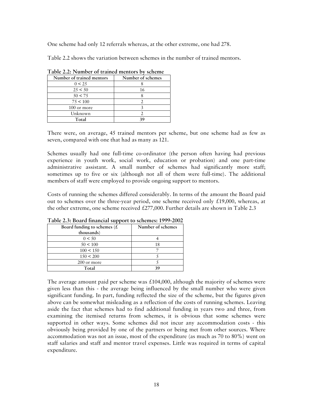One scheme had only 12 referrals whereas, at the other extreme, one had 278.

Table 2.2 shows the variation between schemes in the number of trained mentors.

| Number of trained mentors | Number of schemes |
|---------------------------|-------------------|
| 0 < 25                    |                   |
| 25 < 50                   | 16                |
| 50 < 75                   |                   |
| 75 < 100                  |                   |
| 100 or more               |                   |
| Unknown                   |                   |
| Total                     | 39                |

**Table 2.2: Number of trained mentors by scheme** 

There were, on average, 45 trained mentors per scheme, but one scheme had as few as seven, compared with one that had as many as 121.

Schemes usually had one full-time co-ordinator (the person often having had previous experience in youth work, social work, education or probation) and one part-time administrative assistant. A small number of schemes had significantly more staff; sometimes up to five or six (although not all of them were full-time). The additional members of staff were employed to provide ongoing support to mentors.

Costs of running the schemes differed considerably. In terms of the amount the Board paid out to schemes over the three-year period, one scheme received only  $\pounds$ 19,000, whereas, at the other extreme, one scheme received £277,000. Further details are shown in Table 2.3

| Board funding to schemes $(E)$ | Number of schemes |
|--------------------------------|-------------------|
| thousands)                     |                   |
| 0 < 50                         |                   |
| 50 < 100                       | 18                |
| $100 \le 150$                  |                   |
| 150 < 200                      |                   |
| 200 or more                    |                   |
| Total                          | 20                |

**Table 2.3: Board financial support to schemes: 1999-2002** 

The average amount paid per scheme was  $£104,000$ , although the majority of schemes were given less than this - the average being influenced by the small number who were given significant funding. In part, funding reflected the size of the scheme, but the figures given above can be somewhat misleading as a reflection of the costs of running schemes. Leaving aside the fact that schemes had to find additional funding in years two and three, from examining the itemised returns from schemes, it is obvious that some schemes were supported in other ways. Some schemes did not incur any accommodation costs - this obviously being provided by one of the partners or being met from other sources. Where accommodation was not an issue, most of the expenditure (as much as 70 to 80%) went on staff salaries and staff and mentor travel expenses. Little was required in terms of capital expenditure.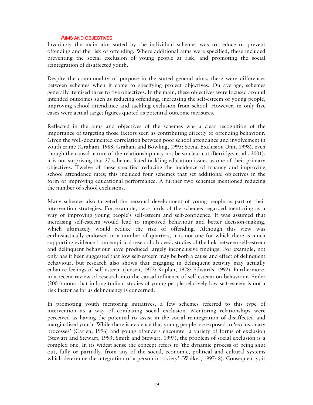#### AIMS AND OBJECTIVES

Invariably the main aim stated by the individual schemes was to reduce or prevent offending and the risk of offending. Where additional aims were specified, these included preventing the social exclusion of young people at risk, and promoting the social reintegration of disaffected youth.

Despite the commonality of purpose in the stated general aims, there were differences between schemes when it came to specifying project objectives. On average, schemes generally itemised three to five objectives. In the main, these objectives were focused around intended outcomes such as reducing offending, increasing the self-esteem of young people, improving school attendance and tackling exclusion from school. However, in only five cases were actual target figures quoted as potential outcome measures.

Reflected in the aims and objectives of the schemes was a clear recognition of the importance of targeting those factors seen as contributing directly to offending behaviour. Given the well-documented correlation between poor school attendance and involvement in youth crime (Graham, 1988; Graham and Bowling, 1995; Social Exclusion Unit, 1998), even though the causal nature of the relationship may not be so clear cut (Berridge, et al., 2001), it is not surprising that 27 schemes listed tackling education issues as one of their primary objectives. Twelve of these specified reducing the incidence of truancy and improving school attendance rates; this included four schemes that set additional objectives in the form of improving educational performance. A further two schemes mentioned reducing the number of school exclusions.

Many schemes also targeted the personal development of young people as part of their intervention strategies. For example, two-thirds of the schemes regarded mentoring as a way of improving young people's self-esteem and self-confidence. It was assumed that increasing self-esteem would lead to improved behaviour and better decision-making, which ultimately would reduce the risk of offending. Although this view was enthusiastically endorsed in a number of quarters, it is not one for which there is much supporting evidence from empirical research. Indeed, studies of the link between self-esteem and delinquent behaviour have produced largely inconclusive findings. For example, not only has it been suggested that low self-esteem may be both a cause and effect of delinquent behaviour, but research also shows that engaging in delinquent activity may actually enhance feelings of self-esteem (Jensen, 1972; Kaplan, 1978: Edwards, 1992). Furthermore, in a recent review of research into the causal influence of self-esteem on behaviour, Emler (2001) notes that in longitudinal studies of young people relatively low self-esteem is not a risk factor as far as delinquency is concerned.

In promoting youth mentoring initiatives, a few schemes referred to this type of intervention as a way of combating social exclusion. Mentoring relationships were perceived as having the potential to assist in the social reintegration of disaffected and marginalised youth. While there is evidence that young people are exposed to 'exclusionary processes' (Carlen, 1996) and young offenders encounter a variety of forms of exclusion (Stewart and Stewart, 1993; Smith and Stewart, 1997), the problem of social exclusion is a complex one. In its widest sense the concept refers to 'the dynamic process of being shut out, fully or partially, from any of the social, economic, political and cultural systems which determine the integration of a person in society' (Walker, 1997: 8). Consequently, it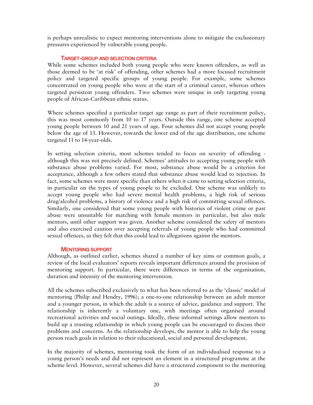is perhaps unrealistic to expect mentoring interventions alone to mitigate the exclusionary pressures experienced by vulnerable young people.

## TARGET-GROUP AND SELECTION CRITERIA

While some schemes included both young people who were known offenders, as well as those deemed to be 'at risk' of offending, other schemes had a more focused recruitment policy and targeted specific groups of young people. For example, some schemes concentrated on young people who were at the start of a criminal career, whereas others targeted persistent young offenders. Two schemes were unique in only targeting young people of African-Caribbean ethnic status.

Where schemes specified a particular target age range as part of their recruitment policy, this was most commonly from 10 to 17 years. Outside this range, one scheme accepted young people between 10 and 21 years of age. Four schemes did not accept young people below the age of 13. However, towards the lower end of the age distribution, one scheme targeted 11 to 14-year-olds.

In setting selection criteria, most schemes tended to focus on severity of offending although this was not precisely defined. Schemes' attitudes to accepting young people with substance abuse problems varied. For most, substance abuse would be a criterion for acceptance, although a few others stated that substance abuse would lead to rejection. In fact, some schemes were more specific than others when it came to setting selection criteria, in particular on the types of young people to be excluded. One scheme was unlikely to accept young people who had severe mental health problems, a high risk of serious drug/alcohol problems, a history of violence and a high risk of committing sexual offences. Similarly, one considered that some young people with histories of violent crime or past abuse were unsuitable for matching with female mentors in particular, but also male mentors, until other support was given. Another scheme considered the safety of mentors and also exercised caution over accepting referrals of young people who had committed sexual offences, as they felt that this could lead to allegations against the mentors.

## MENTORING SUPPORT

Although, as outlined earlier, schemes shared a number of key aims or common goals, a review of the local evaluators' reports reveals important differences around the provision of mentoring support. In particular, there were differences in terms of the organisation, duration and intensity of the mentoring intervention.

All the schemes subscribed exclusively to what has been referred to as the 'classic' model of mentoring (Philip and Hendry, 1996); a one-to-one relationship between an adult mentor and a younger person, in which the adult is a source of advice, guidance and support. The relationship is inherently a voluntary one, with meetings often organised around recreational activities and social outings. Ideally, these informal settings allow mentors to build up a trusting relationship in which young people can be encouraged to discuss their problems and concerns. As the relationship develops, the mentor is able to help the young person reach goals in relation to their educational, social and personal development.

In the majority of schemes, mentoring took the form of an individualised response to a young person's needs and did not represent an element in a structured programme at the scheme level. However, several schemes did have a structured component to the mentoring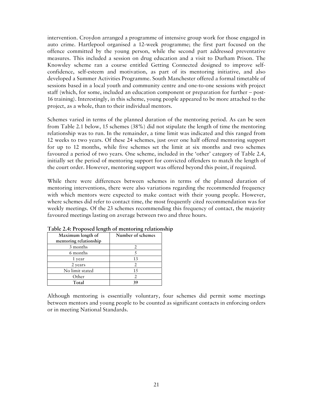intervention. Croydon arranged a programme of intensive group work for those engaged in auto crime. Hartlepool organised a 12-week programme; the first part focused on the offence committed by the young person, while the second part addressed preventative measures. This included a session on drug education and a visit to Durham Prison. The Knowsley scheme ran a course entitled Getting Connected designed to improve selfconfidence, self-esteem and motivation, as part of its mentoring initiative, and also developed a Summer Activities Programme. South Manchester offered a formal timetable of sessions based in a local youth and community centre and one-to-one sessions with project staff (which, for some, included an education component or preparation for further – post-16 training). Interestingly, in this scheme, young people appeared to be more attached to the project, as a whole, than to their individual mentors.

Schemes varied in terms of the planned duration of the mentoring period. As can be seen from Table 2.1 below, 15 schemes (38%) did not stipulate the length of time the mentoring relationship was to run. In the remainder, a time limit was indicated and this ranged from 12 weeks to two years. Of these 24 schemes, just over one half offered mentoring support for up to 12 months, while five schemes set the limit at six months and two schemes favoured a period of two years. One scheme, included in the 'other' category of Table 2.4, initially set the period of mentoring support for convicted offenders to match the length of the court order. However, mentoring support was offered beyond this point, if required.

While there were differences between schemes in terms of the planned duration of mentoring interventions, there were also variations regarding the recommended frequency with which mentors were expected to make contact with their young people. However, where schemes did refer to contact time, the most frequently cited recommendation was for weekly meetings. Of the 23 schemes recommending this frequency of contact, the majority favoured meetings lasting on average between two and three hours.

| Maximum length of      | Number of schemes |
|------------------------|-------------------|
| mentoring relationship |                   |
| 3 months               |                   |
| 6 months               |                   |
| 1 year                 | 13                |
| 2 years                |                   |
| No limit stated        | 15                |
| Other                  |                   |
| Total                  |                   |

**Table 2.4: Proposed length of mentoring relationship** 

Although mentoring is essentially voluntary, four schemes did permit some meetings between mentors and young people to be counted as significant contacts in enforcing orders or in meeting National Standards.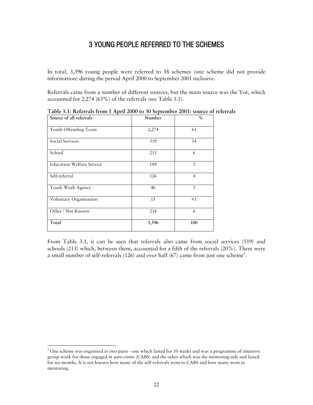## 3 YOUNG PEOPLE REFERRED TO THE SCHEMES

In total, 3,596 young people were referred to 38 schemes (one scheme did not provide information) during the period April 2000 to September 2001 inclusive.

Referrals came from a number of different sources, but the main source was the Yot, which accounted for 2,274 (63%) of the referrals (see Table 3.1).

| Source of all referrals          | Number | $\%$           |
|----------------------------------|--------|----------------|
| Youth Offending Team             | 2,274  | 63             |
| Social Services                  | 519    | 14             |
| School                           | 213    | 6              |
| <b>Education Welfare Service</b> | 189    | 5              |
| Self-referral                    | 126    | $\overline{4}$ |
| Youth Work Agency                | 46     | 1              |
| Voluntary Organisation           | 15     | <1             |
| Other / Not Known                | 214    | 6              |
| Total                            | 3,596  | 100            |

**Table 3.1: Referrals from 1 April 2000 to 30 September 2001: source of referrals** 

From Table 3.1, it can be seen that referrals also came from social services (519) and schools (213) which, between them, accounted for a fifth of the referrals (20%). There were a small number of self-referrals (126) and over half (67) came from just one scheme<sup>5</sup>.

 $\overline{a}$ 

 $^5$  One scheme was organised in two parts - one which lasted for 10 weeks and was a programme of intensive group-work for those engaged in auto crime (CABS) and the other which was the mentoring side and lasted for six months. It is not known how many of the self-referrals went to CABS and how many went to mentoring.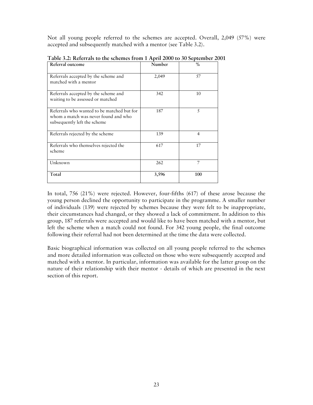Not all young people referred to the schemes are accepted. Overall, 2,049 (57%) were accepted and subsequently matched with a mentor (see Table 3.2).

| Referral outcome                                                                                                   | Number | $\frac{0}{0}$  |
|--------------------------------------------------------------------------------------------------------------------|--------|----------------|
| Referrals accepted by the scheme and<br>matched with a mentor                                                      | 2,049  | 57             |
| Referrals accepted by the scheme and<br>waiting to be assessed or matched                                          | 342    | 10             |
| Referrals who wanted to be matched but for<br>whom a match was never found and who<br>subsequently left the scheme | 187    | 5              |
| Referrals rejected by the scheme                                                                                   | 139    | $\overline{4}$ |
| Referrals who themselves rejected the<br>scheme                                                                    | 617    | 17             |
| Unknown                                                                                                            | 262    | 7              |
| Total                                                                                                              | 3,596  | 100            |

**Table 3.2: Referrals to the schemes from 1 April 2000 to 30 September 2001** 

In total, 756 (21%) were rejected. However, four-fifths (617) of these arose because the young person declined the opportunity to participate in the programme. A smaller number of individuals (139) were rejected by schemes because they were felt to be inappropriate, their circumstances had changed, or they showed a lack of commitment. In addition to this group, 187 referrals were accepted and would like to have been matched with a mentor, but left the scheme when a match could not found. For 342 young people, the final outcome following their referral had not been determined at the time the data were collected.

Basic biographical information was collected on all young people referred to the schemes and more detailed information was collected on those who were subsequently accepted and matched with a mentor. In particular, information was available for the latter group on the nature of their relationship with their mentor - details of which are presented in the next section of this report.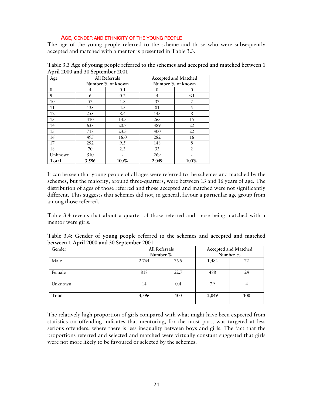## AGE, GENDER AND ETHNICITY OF THE YOUNG PEOPLE

The age of the young people referred to the scheme and those who were subsequently accepted and matched with a mentor is presented in Table 3.3.

| Age     | All Referrals<br>Number % of known |      |       | Accepted and Matched<br>Number % of known |
|---------|------------------------------------|------|-------|-------------------------------------------|
| 8       | 4                                  | 0.1  |       |                                           |
| 9       | 6                                  | 0.2  | 4     | $<$ 1                                     |
| 10      | 57                                 | 1.8  | 37    | 2                                         |
| 11      | 138                                | 4.5  | 81    | 5                                         |
| 12      | 258                                | 8.4  | 143   | 8                                         |
| 13      | 410                                | 13.3 | 263   | 15                                        |
| 14      | 638                                | 20.7 | 389   | 22                                        |
| 15      | 718                                | 23.3 | 400   | 22                                        |
| 16      | 495                                | 16.0 | 282   | 16                                        |
| 17      | 292                                | 9.5  | 148   | 8                                         |
| 18      | 70                                 | 2.3  | 33    | $\overline{2}$                            |
| Unknown | 510                                |      | 269   |                                           |
| Total   | 3,596                              | 100% | 2,049 | 100%                                      |

**Table 3.3 Age of young people referred to the schemes and accepted and matched between 1 April 2000 and 30 September 2001** 

It can be seen that young people of all ages were referred to the schemes and matched by the schemes, but the majority, around three-quarters, were between 13 and 16 years of age. The distribution of ages of those referred and those accepted and matched were not significantly different. This suggests that schemes did not, in general, favour a particular age group from among those referred.

Table 3.4 reveals that about a quarter of those referred and those being matched with a mentor were girls.

| Table 3.4: Gender of young people referred to the schemes and accepted and matched |  |  |  |  |  |  |
|------------------------------------------------------------------------------------|--|--|--|--|--|--|
| between 1 April 2000 and 30 September 2001                                         |  |  |  |  |  |  |

| Gender  | All Referrals |      | Accepted and Matched |     |
|---------|---------------|------|----------------------|-----|
|         | Number %      |      | Number %             |     |
| Male    | 76.9<br>2,764 |      | 1,482                | 72  |
| Female  | 818           | 22.7 | 488                  | 24  |
| Unknown | 14            | 0.4  | 79                   | 4   |
| Total   | 3,596         | 100  | 2,049                | 100 |

The relatively high proportion of girls compared with what might have been expected from statistics on offending indicates that mentoring, for the most part, was targeted at less serious offenders, where there is less inequality between boys and girls. The fact that the proportions referred and selected and matched were virtually constant suggested that girls were not more likely to be favoured or selected by the schemes.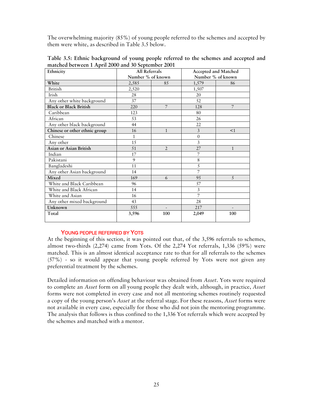The overwhelming majority (85%) of young people referred to the schemes and accepted by them were white, as described in Table 3.5 below.

| Ethnicity                     | All Referrals     |                          | Accepted and Matched |                          |
|-------------------------------|-------------------|--------------------------|----------------------|--------------------------|
|                               | Number % of known |                          |                      | Number % of known        |
| White                         | 2,585             | 85                       | 1,579                | 86                       |
| <b>British</b>                | 2,520             |                          | 1,507                |                          |
| Irish                         | 28                |                          | 20                   |                          |
| Any other white background    | 37                |                          | 52                   |                          |
| <b>Black or Black British</b> | 220               | 7                        | 128                  | 7                        |
| Caribbean                     | 123               |                          | 80                   |                          |
| African                       | 53                |                          | 26                   |                          |
| Any other black background    | 44                |                          | 22                   |                          |
| Chinese or other ethnic group | 16                | $\mathbf{1}$             | 3                    | <1                       |
| Chinese                       | $\mathbf{1}$      |                          | $\mathbf{0}$         |                          |
| Any other                     | 15                |                          | 3                    |                          |
| <b>Asian or Asian British</b> | 51                | $\overline{2}$           | 27                   | $\mathbf{1}$             |
| Indian                        | 17                |                          | 7                    |                          |
| Pakistani                     | 9                 |                          | 8                    |                          |
| Bangladeshi                   | 11                |                          | 5                    |                          |
| Any other Asian background    | 14                |                          | 7                    |                          |
| Mixed                         | 169               | 6                        | 95                   | 5                        |
| White and Black Caribbean     | 96                |                          | 57                   |                          |
| White and Black African       | 14                |                          | 3                    |                          |
| White and Asian               | 16                |                          | 7                    |                          |
| Any other mixed background    | 43                |                          | 28                   |                          |
| Unknown                       | 555               | $\overline{\phantom{a}}$ | 217                  | $\overline{\phantom{a}}$ |
| Total                         | 3,596             | 100                      | 2,049                | 100                      |

**Table 3.5: Ethnic background of young people referred to the schemes and accepted and matched between 1 April 2000 and 30 September 2001** 

## YOUNG PEOPLE REFERRED BY YOTS

At the beginning of this section, it was pointed out that, of the 3,596 referrals to schemes, almost two-thirds (2,274) came from Yots. Of the 2,274 Yot referrals, 1,336 (59%) were matched. This is an almost identical acceptance rate to that for all referrals to the schemes (57%) - so it would appear that young people referred by Yots were not given any preferential treatment by the schemes.

Detailed information on offending behaviour was obtained from *Asset*. Yots were required to complete an *Asset* form on all young people they dealt with, although, in practice, *Asset* forms were not completed in every case and not all mentoring schemes routinely requested a copy of the young person's *Asset* at the referral stage. For these reasons, *Asset* forms were not available in every case, especially for those who did not join the mentoring programme. The analysis that follows is thus confined to the 1,336 Yot referrals which were accepted by the schemes and matched with a mentor.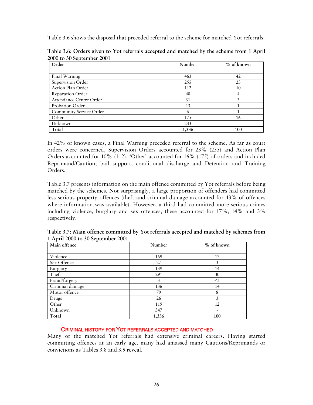Table 3.6 shows the disposal that preceded referral to the scheme for matched Yot referrals.

| Order                   | Number | % of known     |
|-------------------------|--------|----------------|
|                         |        |                |
| Final Warning           | 463    | 42             |
| Supervision Order       | 255    | 23             |
| Action Plan Order       | 112    | 10             |
| Reparation Order        | 48     | $\overline{4}$ |
| Attendance Centre Order | 31     | 3              |
| Probation Order         | 13     |                |
| Community Service Order | 6      |                |
| Other                   | 175    | 16             |
| Unknown                 | 233    |                |
| Total                   | 1,336  | 100            |

**Table 3.6: Orders given to Yot referrals accepted and matched by the scheme from 1 April 2000 to 30 September 2001** 

In 42% of known cases, a Final Warning preceded referral to the scheme. As far as court orders were concerned, Supervision Orders accounted for 23% (255) and Action Plan Orders accounted for 10% (112). 'Other' accounted for 16% (175) of orders and included Reprimand/Caution, bail support, conditional discharge and Detention and Training Orders.

Table 3.7 presents information on the main offence committed by Yot referrals before being matched by the schemes. Not surprisingly, a large proportion of offenders had committed less serious property offences (theft and criminal damage accounted for 43% of offences where information was available). However, a third had committed more serious crimes including violence, burglary and sex offences; these accounted for 17%, 14% and 3% respectively.

| Main offence    | Number | % of known |
|-----------------|--------|------------|
|                 |        |            |
| Violence        | 169    | 17         |
| Sex Offence     | 27     | 3          |
| Burglary        | 139    | 14         |
| Theft           | 291    | 30         |
| Fraud/forgery   | 3      | <1         |
| Criminal damage | 136    | 14         |
| Motor offence   | 79     | 8          |
| Drugs           | 26     | 3          |
| Other           | 119    | 12         |
| Unknown         | 347    |            |
| Total           | 1,336  | 100        |

**Table 3.7: Main offence committed by Yot referrals accepted and matched by schemes from 1 April 2000 to 30 September 2001** 

## CRIMINAL HISTORY FOR YOT REFERRALS ACCEPTED AND MATCHED

Many of the matched Yot referrals had extensive criminal careers. Having started committing offences at an early age, many had amassed many Cautions/Reprimands or convictions as Tables 3.8 and 3.9 reveal.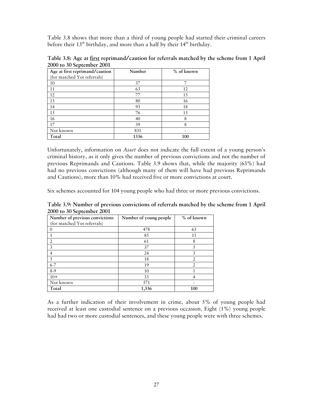Table 3.8 shows that more than a third of young people had started their criminal careers before their 13<sup>th</sup> birthday, and more than a half by their 14<sup>th</sup> birthday.

| Table 3.8: Age at <u>first</u> reprimand/caution for referrals matched by the scheme from 1 April |  |  |
|---------------------------------------------------------------------------------------------------|--|--|
| 2000 to 30 September 2001                                                                         |  |  |

| Age at first reprimand/caution | Number | % of known |
|--------------------------------|--------|------------|
| (for matched Yot referrals)    |        |            |
| 10                             | 37     |            |
| 11                             | 63     | 12         |
| 12                             | 77     | 15         |
| 13                             | 80     | 16         |
| 14                             | 93     | 18         |
| 15                             | 76     | 15         |
| 16                             | 40     | 8          |
| 17                             | 39     | 8          |
| Not known                      | 831    |            |
| Total                          | 1336   | 100        |

Unfortunately, information on *Asset* does not indicate the full extent of a young person's criminal history, as it only gives the number of previous convictions and not the number of previous Reprimands and Cautions. Table 3.9 shows that, while the majority (63%) had had no previous convictions (although many of them will have had previous Reprimands and Cautions), more than 10% had received five or more convictions at court.

Six schemes accounted for 104 young people who had three or more previous convictions.

**Table 3.9: Number of previous convictions of referrals matched by the scheme from 1 April 2000 to 30 September 2001** 

| . <b>.</b><br>Number of previous convictions | Number of young people | % of known |
|----------------------------------------------|------------------------|------------|
| (for matched Yot referrals)                  |                        |            |
|                                              | 478                    | 63         |
|                                              | 85                     | 11         |
|                                              | 61                     | 8          |
| 3                                            | 37                     |            |
|                                              | 24                     | 3          |
|                                              | 18                     |            |
| $6 - 7$                                      | 19                     |            |
| $8-9$                                        | 10                     |            |
| $10+$                                        | 33                     |            |
| Not known                                    | 571                    |            |
| Total                                        | 1,336                  | 100        |

As a further indication of their involvement in crime, about 5% of young people had received at least one custodial sentence on a previous occasion. Eight (1%) young people had had two or more custodial sentences, and these young people were with three schemes.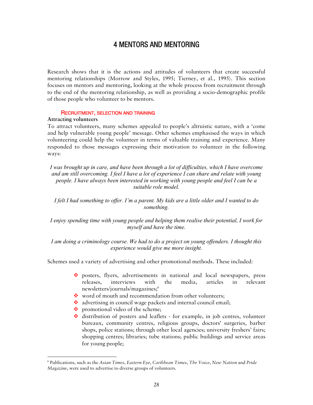## 4 MENTORS AND MENTORING

Research shows that it is the actions and attitudes of volunteers that create successful mentoring relationships (Morrow and Styles, 1995; Tierney, et al., 1995). This section focuses on mentors and mentoring, looking at the whole process from recruitment through to the end of the mentoring relationship, as well as providing a socio-demographic profile of those people who volunteer to be mentors.

#### RECRUITMENT, SELECTION AND TRAINING

#### **Attracting volunteers**

 $\overline{a}$ 

To attract volunteers, many schemes appealed to people's altruistic nature, with a 'come and help vulnerable young people' message. Other schemes emphasised the ways in which volunteering could help the volunteer in terms of valuable training and experience. Many responded to those messages expressing their motivation to volunteer in the following ways:

*I was brought up in care, and have been through a lot of difficulties, which I have overcome and am still overcoming. I feel I have a lot of experience I can share and relate with young people. I have always been interested in working with young people and feel I can be a suitable role model.*

*I felt I had something to offer. I'm a parent. My kids are a little older and I wanted to do something.* 

*I enjoy spending time with young people and helping them realise their potential, I work for myself and have the time.* 

*I am doing a criminology course. We had to do a project on young offenders. I thought this experience would give me more insight.* 

Schemes used a variety of advertising and other promotional methods. These included:

- posters, flyers, advertisements in national and local newspapers, press releases, interviews with the media, articles in relevant newsletters/journals/magazines;6
- word of mouth and recommendation from other volunteers;
- $\triangleq$  advertising in council wage packets and internal council email;
- promotional video of the scheme;
- $\cdot$  distribution of posters and leaflets for example, in job centres, volunteer bureaux, community centres, religious groups, doctors' surgeries, barber shops, police stations; through other local agencies; university freshers' fairs; shopping centres; libraries; tube stations; public buildings and service areas for young people;

<sup>6</sup> Publications, such as the *Asian Times*, *Eastern Eye*, *Caribbean Times*, *The Voice*, *New Nation* and *Pride Magazine*, were used to advertise to diverse groups of volunteers.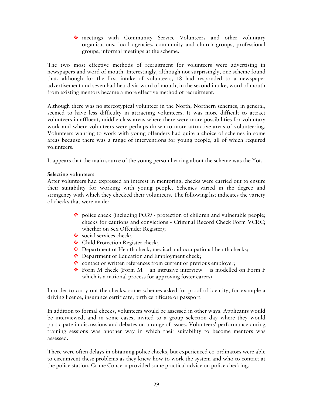meetings with Community Service Volunteers and other voluntary organisations, local agencies, community and church groups, professional groups, informal meetings at the scheme.

The two most effective methods of recruitment for volunteers were advertising in newspapers and word of mouth. Interestingly, although not surprisingly, one scheme found that, although for the first intake of volunteers, 18 had responded to a newspaper advertisement and seven had heard via word of mouth, in the second intake, word of mouth from existing mentors became a more effective method of recruitment.

Although there was no stereotypical volunteer in the North, Northern schemes, in general, seemed to have less difficulty in attracting volunteers. It was more difficult to attract volunteers in affluent, middle-class areas where there were more possibilities for voluntary work and where volunteers were perhaps drawn to more attractive areas of volunteering. Volunteers wanting to work with young offenders had quite a choice of schemes in some areas because there was a range of interventions for young people, all of which required volunteers.

It appears that the main source of the young person hearing about the scheme was the Yot.

## **Selecting volunteers**

After volunteers had expressed an interest in mentoring, checks were carried out to ensure their suitability for working with young people. Schemes varied in the degree and stringency with which they checked their volunteers. The following list indicates the variety of checks that were made:

- police check (including PO39 protection of children and vulnerable people; checks for cautions and convictions - Criminal Record Check Form VCRC; whether on Sex Offender Register);
- social services check;
- ❖ Child Protection Register check;
- $\bullet$  Department of Health check, medical and occupational health checks;
- Department of Education and Employment check;
- \* contact or written references from current or previous employer;
- Form M check (Form  $M -$ an intrusive interview is modelled on Form F which is a national process for approving foster carers).

In order to carry out the checks, some schemes asked for proof of identity, for example a driving licence, insurance certificate, birth certificate or passport.

In addition to formal checks, volunteers would be assessed in other ways. Applicants would be interviewed, and in some cases, invited to a group selection day where they would participate in discussions and debates on a range of issues. Volunteers' performance during training sessions was another way in which their suitability to become mentors was assessed.

There were often delays in obtaining police checks, but experienced co-ordinators were able to circumvent these problems as they knew how to work the system and who to contact at the police station. Crime Concern provided some practical advice on police checking.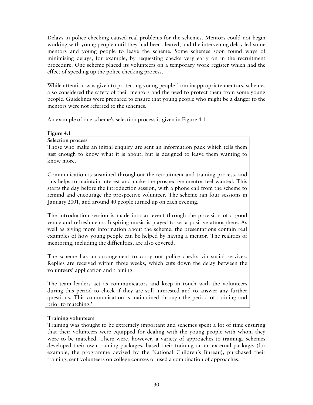Delays in police checking caused real problems for the schemes. Mentors could not begin working with young people until they had been cleared, and the intervening delay led some mentors and young people to leave the scheme. Some schemes soon found ways of minimising delays; for example, by requesting checks very early on in the recruitment procedure. One scheme placed its volunteers on a temporary work register which had the effect of speeding up the police checking process.

While attention was given to protecting young people from inappropriate mentors, schemes also considered the safety of their mentors and the need to protect them from some young people. Guidelines were prepared to ensure that young people who might be a danger to the mentors were not referred to the schemes.

An example of one scheme's selection process is given in Figure 4.1.

## **Figure 4.1**

## **Selection process**

Those who make an initial enquiry are sent an information pack which tells them just enough to know what it is about, but is designed to leave them wanting to know more.

Communication is sustained throughout the recruitment and training process, and this helps to maintain interest and make the prospective mentor feel wanted. This starts the day before the introduction session, with a phone call from the scheme to remind and encourage the prospective volunteer. The scheme ran four sessions in January 2001, and around 40 people turned up on each evening.

The introduction session is made into an event through the provision of a good venue and refreshments. Inspiring music is played to set a positive atmosphere. As well as giving more information about the scheme, the presentations contain real examples of how young people can be helped by having a mentor. The realities of mentoring, including the difficulties, are also covered.

The scheme has an arrangement to carry out police checks via social services. Replies are received within three weeks, which cuts down the delay between the volunteers' application and training.

The team leaders act as communicators and keep in touch with the volunteers during this period to check if they are still interested and to answer any further questions. This communication is maintained through the period of training and prior to matching.'

## **Training volunteers**

Training was thought to be extremely important and schemes spent a lot of time ensuring that their volunteers were equipped for dealing with the young people with whom they were to be matched. There were, however, a variety of approaches to training. Schemes developed their own training packages, based their training on an external package, (for example, the programme devised by the National Children's Bureau), purchased their training, sent volunteers on college courses or used a combination of approaches.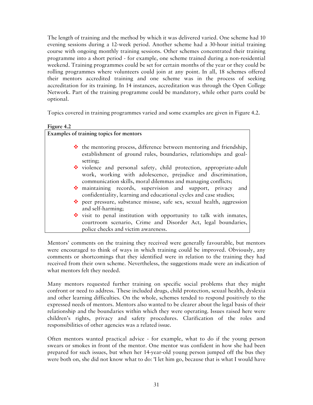The length of training and the method by which it was delivered varied. One scheme had 10 evening sessions during a 12-week period. Another scheme had a 30-hour initial training course with ongoing monthly training sessions. Other schemes concentrated their training programme into a short period - for example, one scheme trained during a non-residential weekend. Training programmes could be set for certain months of the year or they could be rolling programmes where volunteers could join at any point. In all, 18 schemes offered their mentors accredited training and one scheme was in the process of seeking accreditation for its training. In 14 instances, accreditation was through the Open College Network. Part of the training programme could be mandatory, while other parts could be optional.

Topics covered in training programmes varied and some examples are given in Figure 4.2.

**Figure 4.2** 

| Examples of training topics for mentors                                                                                                                                                            |
|----------------------------------------------------------------------------------------------------------------------------------------------------------------------------------------------------|
| $\cdot \cdot$ the mentoring process, difference between mentoring and friendship,<br>establishment of ground rules, boundaries, relationships and goal-<br>setting;                                |
| violence and personal safety, child protection, appropriate-adult<br>work, working with adolescence, prejudice and discrimination,<br>communication skills, moral dilemmas and managing conflicts; |
| maintaining records, supervision and support, privacy and<br>confidentiality, learning and educational cycles and case studies;                                                                    |
| peer pressure, substance misuse, safe sex, sexual health, aggression<br>and self-harming;                                                                                                          |
| visit to penal institution with opportunity to talk with inmates,<br>courtroom scenario, Crime and Disorder Act, legal boundaries,<br>police checks and victim awareness.                          |

Mentors' comments on the training they received were generally favourable, but mentors were encouraged to think of ways in which training could be improved. Obviously, any comments or shortcomings that they identified were in relation to the training they had received from their own scheme. Nevertheless, the suggestions made were an indication of what mentors felt they needed.

Many mentors requested further training on specific social problems that they might confront or need to address. These included drugs, child protection, sexual health, dyslexia and other learning difficulties. On the whole, schemes tended to respond positively to the expressed needs of mentors. Mentors also wanted to be clearer about the legal basis of their relationship and the boundaries within which they were operating. Issues raised here were children's rights, privacy and safety procedures. Clarification of the roles and responsibilities of other agencies was a related issue.

Often mentors wanted practical advice - for example, what to do if the young person swears or smokes in front of the mentor. One mentor was confident in how she had been prepared for such issues, but when her 14-year-old young person jumped off the bus they were both on, she did not know what to do: 'I let him go, because that is what I would have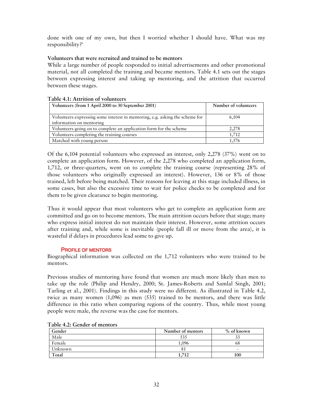done with one of my own, but then I worried whether I should have. What was my responsibility?'

## **Volunteers that were recruited and trained to be mentors**

While a large number of people responded to initial advertisements and other promotional material, not all completed the training and became mentors. Table 4.1 sets out the stages between expressing interest and taking up mentoring, and the attrition that occurred between these stages.

| 1 AVIC 111. INCLICION OF TOIGHICOLD                                          |                      |
|------------------------------------------------------------------------------|----------------------|
| Volunteers (from 1 April 2000 to 30 September 2001)                          | Number of volunteers |
| Volunteers expressing some interest in mentoring, e.g. asking the scheme for | 6,104                |
| information on mentoring                                                     |                      |
| Volunteers going on to complete an application form for the scheme           | 2,278                |
| Volunteers completing the training courses                                   | 1.712                |
| Matched with young person                                                    | 1.576                |

## **Table 4.1: Attrition of volunteers**

Of the 6,104 potential volunteers who expressed an interest, only 2,278 (37%) went on to complete an application form. However, of the 2,278 who completed an application form, 1,712, or three-quarters, went on to complete the training course (representing 28% of those volunteers who originally expressed an interest). However, 136 or 8% of those trained, left before being matched. Their reasons for leaving at this stage included illness, in some cases, but also the excessive time to wait for police checks to be completed and for them to be given clearance to begin mentoring.

Thus it would appear that most volunteers who get to complete an application form are committed and go on to become mentors. The main attrition occurs before that stage; many who express initial interest do not maintain their interest. However, some attrition occurs after training and, while some is inevitable (people fall ill or move from the area), it is wasteful if delays in procedures lead some to give up.

## PROFILE OF MENTORS

Biographical information was collected on the 1,712 volunteers who were trained to be mentors.

Previous studies of mentoring have found that women are much more likely than men to take up the role (Philip and Hendry, 2000; St. James-Roberts and Samlal Singh, 2001; Tarling et al., 2001). Findings in this study were no different. As illustrated in Table 4.2, twice as many women (1,096) as men (535) trained to be mentors, and there was little difference in this ratio when comparing regions of the country. Thus, while most young people were male, the reverse was the case for mentors.

| Gender  | Number of mentors | % of known               |
|---------|-------------------|--------------------------|
| Male    | 535               |                          |
| Female  | .096              | 68                       |
| Unknown |                   | $\overline{\phantom{0}}$ |
| Total   | <b>712</b>        | 100                      |

#### **Table 4.2: Gender of mentors**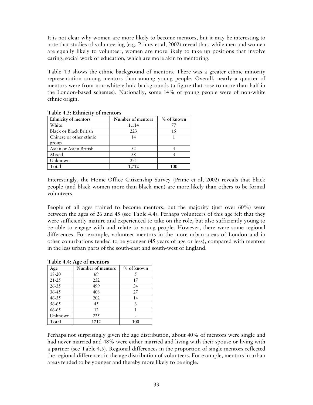It is not clear why women are more likely to become mentors, but it may be interesting to note that studies of volunteering (e.g. Prime, et al, 2002) reveal that, while men and women are equally likely to volunteer, women are more likely to take up positions that involve caring, social work or education, which are more akin to mentoring.

Table 4.3 shows the ethnic background of mentors. There was a greater ethnic minority representation among mentors than among young people. Overall, nearly a quarter of mentors were from non-white ethnic backgrounds (a figure that rose to more than half in the London-based schemes). Nationally, some 14% of young people were of non-white ethnic origin.

| Ethnicity of mentors          | Number of mentors | $%$ of known |
|-------------------------------|-------------------|--------------|
| White                         | 1,114             | 77           |
| <b>Black or Black British</b> | 223               | 15           |
| Chinese or other ethnic       | 14                |              |
| group                         |                   |              |
| Asian or Asian British        | 52.               |              |
| Mixed                         | 38                |              |
| Unknown                       | 271               |              |
| Total                         | 1,712             | Inr          |

**Table 4.3: Ethnicity of mentors** 

Interestingly, the Home Office Citizenship Survey (Prime et al, 2002) reveals that black people (and black women more than black men) are more likely than others to be formal volunteers.

People of all ages trained to become mentors, but the majority (just over 60%) were between the ages of 26 and 45 (see Table 4.4). Perhaps volunteers of this age felt that they were sufficiently mature and experienced to take on the role, but also sufficiently young to be able to engage with and relate to young people. However, there were some regional differences. For example, volunteer mentors in the more urban areas of London and in other conurbations tended to be younger (45 years of age or less), compared with mentors in the less urban parts of the south-east and south-west of England.

| Age       | ັ<br>Number of mentors | % of known |
|-----------|------------------------|------------|
| 18-20     | 69                     |            |
| $21 - 25$ | 252                    | 17         |
| 26-35     | 499                    | 34         |
| 36-45     | 408                    | 27         |
| $46 - 55$ | 202                    | 14         |
| 56-65     | 45                     | 3          |
| 66-65     | 12                     |            |
| Unknown   | 225                    |            |
| Total     | 1712                   | 100        |

**Table 4.4: Age of mentors** 

Perhaps not surprisingly given the age distribution, about 40% of mentors were single and had never married and 48% were either married and living with their spouse or living with a partner (see Table 4.5). Regional differences in the proportion of single mentors reflected the regional differences in the age distribution of volunteers. For example, mentors in urban areas tended to be younger and thereby more likely to be single.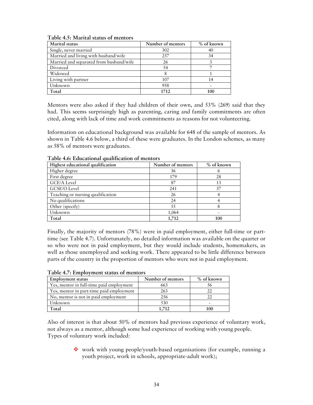| Marital status                          | Number of mentors | % of known |
|-----------------------------------------|-------------------|------------|
| Single, never married                   | 302               | 40         |
| Married and living with husband/wife    | 257               | 34         |
| Married and separated from husband/wife | 26                |            |
| Divorced                                | 54                |            |
| Widowed                                 |                   |            |
| Living with partner                     | 107               | 14         |
| Unknown                                 | 958               |            |
| Total                                   | 1712              | 100        |

#### **Table 4.5: Marital status of mentors**

Mentors were also asked if they had children of their own, and 53% (269) said that they had. This seems surprisingly high as parenting, caring and family commitments are often cited, along with lack of time and work commitments as reasons for not volunteering.

Information on educational background was available for 648 of the sample of mentors. As shown in Table 4.6 below, a third of these were graduates. In the London schemes, as many as 58% of mentors were graduates.

| Highest educational qualification | Number of mentors | $%$ of known |
|-----------------------------------|-------------------|--------------|
| Higher degree                     | 36                |              |
| First degree                      | 179               | 28           |
| GCE/A Level                       | 87                | 13           |
| GCSE/O Level                      | 241               | 37           |
| Teaching or nursing qualification | 26                |              |
| No qualifications                 | 24                |              |
| Other (specify)                   | 55                |              |
| Unknown                           | 1,064             |              |
| Total                             | 1.712             | 100          |

## **Table 4.6: Educational qualification of mentors**

Finally, the majority of mentors (78%) were in paid employment, either full-time or parttime (see Table 4.7). Unfortunately, no detailed information was available on the quarter or so who were not in paid employment, but they would include students, homemakers, as well as those unemployed and seeking work. There appeared to be little difference between parts of the country in the proportion of mentors who were not in paid employment.

| <b>Employment status</b>                 | Number of mentors | $%$ of known |
|------------------------------------------|-------------------|--------------|
| Yes, mentor in full-time paid employment | 663               | 56           |
| Yes, mentor in part-time paid employment | 263               |              |
| No, mentor is not in paid employment     | 256               |              |
| Unknown                                  | 530               |              |
| Total                                    | 1.712             | 100          |

## **Table 4.7: Employment status of mentors**

Also of interest is that about 50% of mentors had previous experience of voluntary work, not always as a mentor, although some had experience of working with young people. Types of voluntary work included:

> • work with young people/youth-based organisations (for example, running a youth project, work in schools, appropriate-adult work);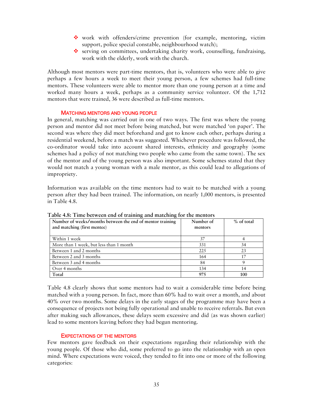- work with offenders/crime prevention (for example, mentoring, victim support, police special constable, neighbourhood watch);
- $\cdot$  serving on committees, undertaking charity work, counselling, fundraising, work with the elderly, work with the church.

Although most mentors were part-time mentors, that is, volunteers who were able to give perhaps a few hours a week to meet their young person, a few schemes had full-time mentors. These volunteers were able to mentor more than one young person at a time and worked many hours a week, perhaps as a community service volunteer. Of the 1,712 mentors that were trained, 36 were described as full-time mentors.

## MATCHING MENTORS AND YOUNG PEOPLE

In general, matching was carried out in one of two ways. The first was where the young person and mentor did not meet before being matched, but were matched 'on paper'. The second was where they did meet beforehand and got to know each other, perhaps during a residential weekend, before a match was suggested. Whichever procedure was followed, the co-ordinator would take into account shared interests, ethnicity and geography (some schemes had a policy of not matching two people who came from the same town). The sex of the mentor and of the young person was also important. Some schemes stated that they would not match a young woman with a male mentor, as this could lead to allegations of impropriety.

Information was available on the time mentors had to wait to be matched with a young person after they had been trained. The information, on nearly 1,000 mentors, is presented in Table 4.8.

| Number of weeks/months between the end of mentor training | Number of | $%$ of total |
|-----------------------------------------------------------|-----------|--------------|
| and matching (first mentee)                               | mentors   |              |
| Within 1 week                                             | 37        |              |
| More than 1 week, but less than 1 month                   | 331       | 34           |
| Between 1 and 2 months                                    | 225       | 23           |
| Between 2 and 3 months                                    | 164       | 17           |
| Between 3 and 4 months                                    | 84        |              |
| Over 4 months                                             | 134       | 14           |
| Total                                                     | 975       | 100          |

**Table 4.8: Time between end of training and matching for the mentors** 

Table 4.8 clearly shows that some mentors had to wait a considerable time before being matched with a young person. In fact, more than 60% had to wait over a month, and about 40% over two months. Some delays in the early stages of the programme may have been a consequence of projects not being fully operational and unable to receive referrals. But even after making such allowances, these delays seem excessive and did (as was shown earlier) lead to some mentors leaving before they had begun mentoring.

## EXPECTATIONS OF THE MENTORS

Few mentors gave feedback on their expectations regarding their relationship with the young people. Of those who did, some preferred to go into the relationship with an open mind. Where expectations were voiced, they tended to fit into one or more of the following categories: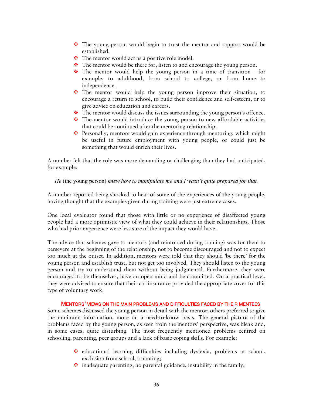- \* The young person would begin to trust the mentor and rapport would be established.
- $\cdot \cdot$  The mentor would act as a positive role model.
- $\bullet$  The mentor would be there for, listen to and encourage the young person.
- $\div$  The mentor would help the young person in a time of transition for example, to adulthood, from school to college, or from home to independence.
- The mentor would help the young person improve their situation, to encourage a return to school, to build their confidence and self-esteem, or to give advice on education and careers.
- The mentor would discuss the issues surrounding the young person's offence.
- $\div$  The mentor would introduce the young person to new affordable activities that could be continued after the mentoring relationship.
- **Personally, mentors would gain experience through mentoring; which might** be useful in future employment with young people, or could just be something that would enrich their lives.

A number felt that the role was more demanding or challenging than they had anticipated, for example:

*He* (the young person) *knew how to manipulate me and I wasn't quite prepared for that.* 

A number reported being shocked to hear of some of the experiences of the young people, having thought that the examples given during training were just extreme cases.

One local evaluator found that those with little or no experience of disaffected young people had a more optimistic view of what they could achieve in their relationships. Those who had prior experience were less sure of the impact they would have.

The advice that schemes gave to mentors (and reinforced during training) was for them to persevere at the beginning of the relationship, not to become discouraged and not to expect too much at the outset. In addition, mentors were told that they should 'be there' for the young person and establish trust, but not get too involved. They should listen to the young person and try to understand them without being judgmental. Furthermore, they were encouraged to be themselves, have an open mind and be committed. On a practical level, they were advised to ensure that their car insurance provided the appropriate cover for this type of voluntary work.

## MENTORS' VIEWS ON THE MAIN PROBLEMS AND DIFFICULTIES FACED BY THEIR MENTEES

Some schemes discussed the young person in detail with the mentor; others preferred to give the minimum information, more on a need-to-know basis. The general picture of the problems faced by the young person, as seen from the mentors' perspective, was bleak and, in some cases, quite disturbing. The most frequently mentioned problems centred on schooling, parenting, peer groups and a lack of basic coping skills. For example:

- educational learning difficulties including dyslexia, problems at school, exclusion from school, truanting;
- $\cdot$  inadequate parenting, no parental guidance, instability in the family;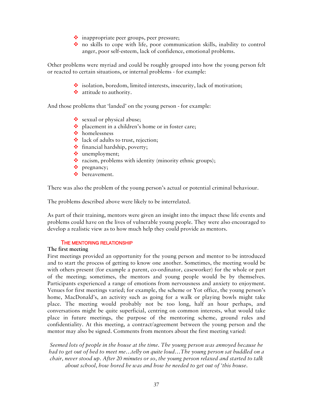- $\ddot{\bullet}$  inappropriate peer groups, peer pressure;
- no skills to cope with life, poor communication skills, inability to control anger, poor self-esteem, lack of confidence, emotional problems.

Other problems were myriad and could be roughly grouped into how the young person felt or reacted to certain situations, or internal problems - for example:

- $\cdot$  isolation, boredom, limited interests, insecurity, lack of motivation;
- ❖ attitude to authority.

And those problems that 'landed' on the young person - for example:

- sexual or physical abuse;
- placement in a children's home or in foster care;
- homelessness
- ❖ lack of adults to trust, rejection;
- $\triangle$  financial hardship, poverty;
- unemployment;
- $\cdot$  racism, problems with identity (minority ethnic groups);
- ❖ pregnancy;
- **bereavement.**

There was also the problem of the young person's actual or potential criminal behaviour.

The problems described above were likely to be interrelated.

As part of their training, mentors were given an insight into the impact these life events and problems could have on the lives of vulnerable young people. They were also encouraged to develop a realistic view as to how much help they could provide as mentors.

#### THE MENTORING RELATIONSHIP

#### **The first meeting**

First meetings provided an opportunity for the young person and mentor to be introduced and to start the process of getting to know one another. Sometimes, the meeting would be with others present (for example a parent, co-ordinator, caseworker) for the whole or part of the meeting; sometimes, the mentors and young people would be by themselves. Participants experienced a range of emotions from nervousness and anxiety to enjoyment. Venues for first meetings varied; for example, the scheme or Yot office, the young person's home, MacDonald's, an activity such as going for a walk or playing bowls might take place. The meeting would probably not be too long, half an hour perhaps, and conversations might be quite superficial, centring on common interests, what would take place in future meetings, the purpose of the mentoring scheme, ground rules and confidentiality. At this meeting, a contract/agreement between the young person and the mentor may also be signed. Comments from mentors about the first meeting varied:

*Seemed lots of people in the house at the time. The young person was annoyed because he had to get out of bed to meet me…telly on quite loud…The young person sat huddled on a chair, never stood up. After 20 minutes or so, the young person relaxed and started to talk about school, how bored he was and how he needed to get out of 'this house.*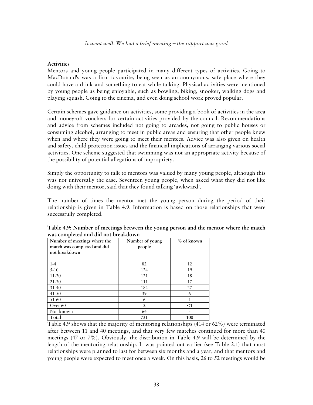## **Activities**

Mentors and young people participated in many different types of activities. Going to MacDonald's was a firm favourite, being seen as an anonymous, safe place where they could have a drink and something to eat while talking. Physical activities were mentioned by young people as being enjoyable, such as bowling, biking, snooker, walking dogs and playing squash. Going to the cinema, and even doing school work proved popular.

Certain schemes gave guidance on activities, some providing a book of activities in the area and money-off vouchers for certain activities provided by the council. Recommendations and advice from schemes included not going to arcades, not going to public houses or consuming alcohol, arranging to meet in public areas and ensuring that other people knew when and where they were going to meet their mentees. Advice was also given on health and safety, child protection issues and the financial implications of arranging various social activities. One scheme suggested that swimming was not an appropriate activity because of the possibility of potential allegations of impropriety.

Simply the opportunity to talk to mentors was valued by many young people, although this was not universally the case. Seventeen young people, when asked what they did not like doing with their mentor, said that they found talking 'awkward'.

The number of times the mentor met the young person during the period of their relationship is given in Table 4.9. Information is based on those relationships that were successfully completed.

| Number of meetings where the<br>match was completed and did<br>not breakdown | Number of young<br>people | $%$ of known |
|------------------------------------------------------------------------------|---------------------------|--------------|
| $1 - 4$                                                                      | 82                        | 12           |
| $5 - 10$                                                                     | 124                       | 19           |
| $11 - 20$                                                                    | 121                       | 18           |
| $21 - 30$                                                                    | 111                       | 17           |
| $31 - 40$                                                                    | 182                       | 27           |
| $41 - 50$                                                                    | 39                        | 6            |
| 51-60                                                                        | 6                         | 1            |
| Over <sub>60</sub>                                                           | $\mathfrak{D}$            | <1           |
| Not known                                                                    | 64                        |              |
| Total                                                                        | 731                       | 100          |

| Table 4.9: Number of meetings between the young person and the mentor where the match |  |  |
|---------------------------------------------------------------------------------------|--|--|
| was completed and did not breakdown                                                   |  |  |

Table 4.9 shows that the majority of mentoring relationships (414 or 62%) were terminated after between 11 and 40 meetings, and that very few matches continued for more than 40 meetings (47 or 7%). Obviously, the distribution in Table 4.9 will be determined by the length of the mentoring relationship. It was pointed out earlier (see Table 2.1) that most relationships were planned to last for between six months and a year, and that mentors and young people were expected to meet once a week. On this basis, 26 to 52 meetings would be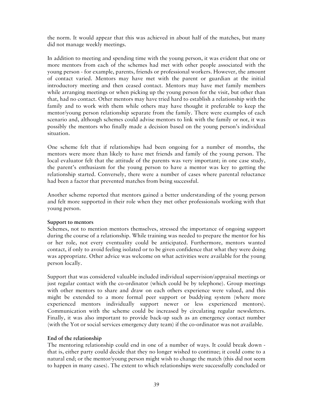the norm. It would appear that this was achieved in about half of the matches, but many did not manage weekly meetings.

In addition to meeting and spending time with the young person, it was evident that one or more mentors from each of the schemes had met with other people associated with the young person - for example, parents, friends or professional workers. However, the amount of contact varied. Mentors may have met with the parent or guardian at the initial introductory meeting and then ceased contact. Mentors may have met family members while arranging meetings or when picking up the young person for the visit, but other than that, had no contact. Other mentors may have tried hard to establish a relationship with the family and to work with them while others may have thought it preferable to keep the mentor/young person relationship separate from the family. There were examples of each scenario and, although schemes could advise mentors to link with the family or not, it was possibly the mentors who finally made a decision based on the young person's individual situation.

One scheme felt that if relationships had been ongoing for a number of months, the mentors were more than likely to have met friends and family of the young person. The local evaluator felt that the attitude of the parents was very important; in one case study, the parent's enthusiasm for the young person to have a mentor was key to getting the relationship started. Conversely, there were a number of cases where parental reluctance had been a factor that prevented matches from being successful.

Another scheme reported that mentors gained a better understanding of the young person and felt more supported in their role when they met other professionals working with that young person.

## **Support to mentors**

Schemes, not to mention mentors themselves, stressed the importance of ongoing support during the course of a relationship. While training was needed to prepare the mentor for his or her role, not every eventuality could be anticipated. Furthermore, mentors wanted contact, if only to avoid feeling isolated or to be given confidence that what they were doing was appropriate. Other advice was welcome on what activities were available for the young person locally.

Support that was considered valuable included individual supervision/appraisal meetings or just regular contact with the co-ordinator (which could be by telephone). Group meetings with other mentors to share and draw on each others experience were valued, and this might be extended to a more formal peer support or buddying system (where more experienced mentors individually support newer or less experienced mentors). Communication with the scheme could be increased by circulating regular newsletters. Finally, it was also important to provide back-up such as an emergency contact number (with the Yot or social services emergency duty team) if the co-ordinator was not available.

## **End of the relationship**

The mentoring relationship could end in one of a number of ways. It could break down that is, either party could decide that they no longer wished to continue; it could come to a natural end; or the mentor/young person might wish to change the match (this did not seem to happen in many cases). The extent to which relationships were successfully concluded or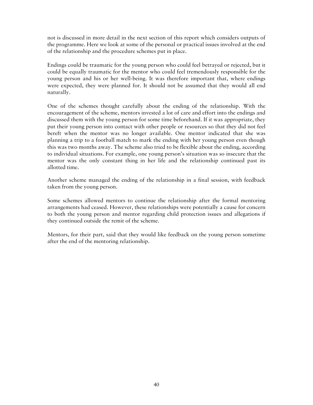not is discussed in more detail in the next section of this report which considers outputs of the programme. Here we look at some of the personal or practical issues involved at the end of the relationship and the procedure schemes put in place.

Endings could be traumatic for the young person who could feel betrayed or rejected, but it could be equally traumatic for the mentor who could feel tremendously responsible for the young person and his or her well-being. It was therefore important that, where endings were expected, they were planned for. It should not be assumed that they would all end naturally.

One of the schemes thought carefully about the ending of the relationship. With the encouragement of the scheme, mentors invested a lot of care and effort into the endings and discussed them with the young person for some time beforehand. If it was appropriate, they put their young person into contact with other people or resources so that they did not feel bereft when the mentor was no longer available. One mentor indicated that she was planning a trip to a football match to mark the ending with her young person even though this was two months away. The scheme also tried to be flexible about the ending, according to individual situations. For example, one young person's situation was so insecure that the mentor was the only constant thing in her life and the relationship continued past its allotted time.

Another scheme managed the ending of the relationship in a final session, with feedback taken from the young person.

Some schemes allowed mentors to continue the relationship after the formal mentoring arrangements had ceased. However, these relationships were potentially a cause for concern to both the young person and mentor regarding child protection issues and allegations if they continued outside the remit of the scheme.

Mentors, for their part, said that they would like feedback on the young person sometime after the end of the mentoring relationship.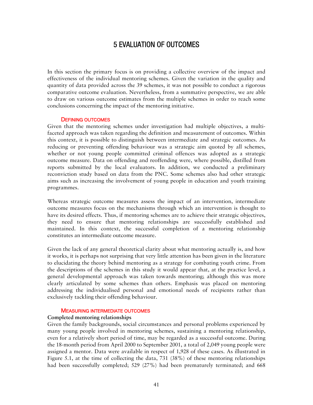## 5 EVALUATION OF OUTCOMES

In this section the primary focus is on providing a collective overview of the impact and effectiveness of the individual mentoring schemes. Given the variation in the quality and quantity of data provided across the 39 schemes, it was not possible to conduct a rigorous comparative outcome evaluation. Nevertheless, from a summative perspective, we are able to draw on various outcome estimates from the multiple schemes in order to reach some conclusions concerning the impact of the mentoring initiative.

#### DEFINING OUTCOMES

Given that the mentoring schemes under investigation had multiple objectives, a multifaceted approach was taken regarding the definition and measurement of outcomes. Within this context, it is possible to distinguish between intermediate and strategic outcomes. As reducing or preventing offending behaviour was a strategic aim quoted by all schemes, whether or not young people committed criminal offences was adopted as a strategic outcome measure. Data on offending and reoffending were, where possible, distilled from reports submitted by the local evaluators. In addition, we conducted a preliminary reconviction study based on data from the PNC. Some schemes also had other strategic aims such as increasing the involvement of young people in education and youth training programmes.

Whereas strategic outcome measures assess the impact of an intervention, intermediate outcome measures focus on the mechanisms through which an intervention is thought to have its desired effects. Thus, if mentoring schemes are to achieve their strategic objectives, they need to ensure that mentoring relationships are successfully established and maintained. In this context, the successful completion of a mentoring relationship constitutes an intermediate outcome measure.

Given the lack of any general theoretical clarity about what mentoring actually is, and how it works, it is perhaps not surprising that very little attention has been given in the literature to elucidating the theory behind mentoring as a strategy for combating youth crime. From the descriptions of the schemes in this study it would appear that, at the practice level, a general developmental approach was taken towards mentoring; although this was more clearly articulated by some schemes than others. Emphasis was placed on mentoring addressing the individualised personal and emotional needs of recipients rather than exclusively tackling their offending behaviour.

#### MEASURING INTERMEDIATE OUTCOMES

#### **Completed mentoring relationships**

Given the family backgrounds, social circumstances and personal problems experienced by many young people involved in mentoring schemes, sustaining a mentoring relationship, even for a relatively short period of time, may be regarded as a successful outcome. During the 18-month period from April 2000 to September 2001, a total of 2,049 young people were assigned a mentor. Data were available in respect of 1,928 of these cases. As illustrated in Figure 5.1, at the time of collecting the data, 731 (38%) of these mentoring relationships had been successfully completed; 529 (27%) had been prematurely terminated; and 668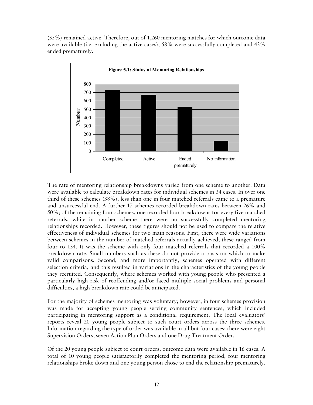(35%) remained active. Therefore, out of 1,260 mentoring matches for which outcome data were available (i.e. excluding the active cases), 58% were successfully completed and 42% ended prematurely.



The rate of mentoring relationship breakdowns varied from one scheme to another. Data were available to calculate breakdown rates for individual schemes in 34 cases. In over one third of these schemes (38%), less than one in four matched referrals came to a premature and unsuccessful end. A further 17 schemes recorded breakdown rates between 26% and 50%; of the remaining four schemes, one recorded four breakdowns for every five matched referrals, while in another scheme there were no successfully completed mentoring relationships recorded. However, these figures should not be used to compare the relative effectiveness of individual schemes for two main reasons. First, there were wide variations between schemes in the number of matched referrals actually achieved; these ranged from four to 134. It was the scheme with only four matched referrals that recorded a 100% breakdown rate. Small numbers such as these do not provide a basis on which to make valid comparisons. Second, and more importantly, schemes operated with different selection criteria, and this resulted in variations in the characteristics of the young people they recruited. Consequently, where schemes worked with young people who presented a particularly high risk of reoffending and/or faced multiple social problems and personal difficulties, a high breakdown rate could be anticipated.

For the majority of schemes mentoring was voluntary; however, in four schemes provision was made for accepting young people serving community sentences, which included participating in mentoring support as a conditional requirement. The local evaluators' reports reveal 20 young people subject to such court orders across the three schemes. Information regarding the type of order was available in all but four cases: there were eight Supervision Orders, seven Action Plan Orders and one Drug Treatment Order.

Of the 20 young people subject to court orders, outcome data were available in 16 cases. A total of 10 young people satisfactorily completed the mentoring period, four mentoring relationships broke down and one young person chose to end the relationship prematurely.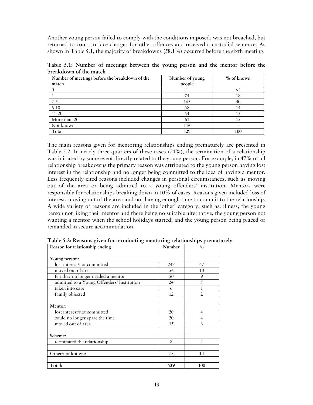Another young person failed to comply with the conditions imposed, was not breached, but returned to court to face charges for other offences and received a custodial sentence. As shown in Table 5.1, the majority of breakdowns (58.1%) occurred before the sixth meeting.

**Table 5.1: Number of meetings between the young person and the mentor before the breakdown of the match** 

| Number of meetings before the breakdown of the | Number of young | % of known |
|------------------------------------------------|-----------------|------------|
| match                                          | people          |            |
|                                                |                 | <1         |
|                                                | 74              | 18         |
| $2 - 5$                                        | 165             | 40         |
| $6 - 10$                                       | 58              | 14         |
| $11 - 20$                                      | 54              | 13         |
| More than 20                                   | 61              | 1.5        |
| Not known                                      | 116             |            |
| Total                                          | 529             | 100        |

The main reasons given for mentoring relationships ending prematurely are presented in Table 5.2. In nearly three-quarters of these cases (74%), the termination of a relationship was initiated by some event directly related to the young person. For example, in 47% of all relationship breakdowns the primary reason was attributed to the young person having lost interest in the relationship and no longer being committed to the idea of having a mentor. Less frequently cited reasons included changes in personal circumstances, such as moving out of the area or being admitted to a young offenders' institution. Mentors were responsible for relationships breaking down in 10% of cases. Reasons given included loss of interest, moving out of the area and not having enough time to commit to the relationship. A wide variety of reasons are included in the 'other' category, such as: illness; the young person not liking their mentor and there being no suitable alternative; the young person not wanting a mentor when the school holidays started; and the young person being placed or remanded in secure accommodation.

| Reason for relationship ending             | Number | $\%$           |
|--------------------------------------------|--------|----------------|
|                                            |        |                |
| Young person:                              |        |                |
| lost interest/not committed                | 247    | 47             |
| moved out of area                          | 54     | 10             |
| felt they no longer needed a mentor        | 50     | 9              |
| admitted to a Young Offenders' Institution | 24     | 5              |
| taken into care                            | 6      |                |
| family objected                            | 12     | $\overline{2}$ |
|                                            |        |                |
| Mentor:                                    |        |                |
| lost interest/not committed                | 20     | 4              |
| could no longer spare the time             | 20     | 4              |
| moved out of area                          | 15     | 3              |
|                                            |        |                |
| Scheme:                                    |        |                |
| terminated the relationship                | 8      | $\mathfrak{D}$ |
|                                            |        |                |
| Other/not known:                           | 73     | 14             |
|                                            |        |                |
| Total:                                     | 529    | 100            |

**Table 5.2: Reasons given for terminating mentoring relationships prematurely**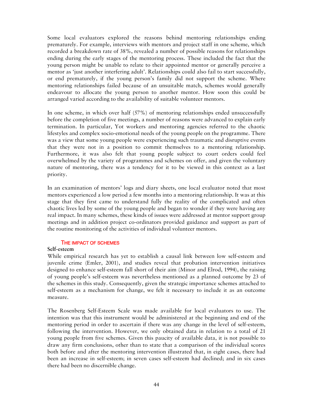Some local evaluators explored the reasons behind mentoring relationships ending prematurely. For example, interviews with mentors and project staff in one scheme, which recorded a breakdown rate of 38%, revealed a number of possible reasons for relationships ending during the early stages of the mentoring process. These included the fact that the young person might be unable to relate to their appointed mentor or generally perceive a mentor as 'just another interfering adult'. Relationships could also fail to start successfully, or end prematurely, if the young person's family did not support the scheme. Where mentoring relationships failed because of an unsuitable match, schemes would generally endeavour to allocate the young person to another mentor. How soon this could be arranged varied according to the availability of suitable volunteer mentors.

In one scheme, in which over half (57%) of mentoring relationships ended unsuccessfully before the completion of five meetings, a number of reasons were advanced to explain early termination. In particular, Yot workers and mentoring agencies referred to the chaotic lifestyles and complex socio-emotional needs of the young people on the programme. There was a view that some young people were experiencing such traumatic and disruptive events that they were not in a position to commit themselves to a mentoring relationship. Furthermore, it was also felt that young people subject to court orders could feel overwhelmed by the variety of programmes and schemes on offer, and given the voluntary nature of mentoring, there was a tendency for it to be viewed in this context as a last priority.

In an examination of mentors' logs and diary sheets, one local evaluator noted that most mentors experienced a low period a few months into a mentoring relationship. It was at this stage that they first came to understand fully the reality of the complicated and often chaotic lives led by some of the young people and began to wonder if they were having any real impact. In many schemes, these kinds of issues were addressed at mentor support group meetings and in addition project co-ordinators provided guidance and support as part of the routine monitoring of the activities of individual volunteer mentors.

#### THE IMPACT OF SCHEMES

#### **Self-esteem**

While empirical research has yet to establish a causal link between low self-esteem and juvenile crime (Emler, 2001), and studies reveal that probation intervention initiatives designed to enhance self-esteem fall short of their aim (Minor and Elrod, 1994), the raising of young people's self-esteem was nevertheless mentioned as a planned outcome by 23 of the schemes in this study. Consequently, given the strategic importance schemes attached to self-esteem as a mechanism for change, we felt it necessary to include it as an outcome measure.

The Rosenberg Self-Esteem Scale was made available for local evaluators to use. The intention was that this instrument would be administered at the beginning and end of the mentoring period in order to ascertain if there was any change in the level of self-esteem, following the intervention. However, we only obtained data in relation to a total of 21 young people from five schemes. Given this paucity of available data, it is not possible to draw any firm conclusions, other than to state that a comparison of the individual scores both before and after the mentoring intervention illustrated that, in eight cases, there had been an increase in self-esteem; in seven cases self-esteem had declined; and in six cases there had been no discernible change.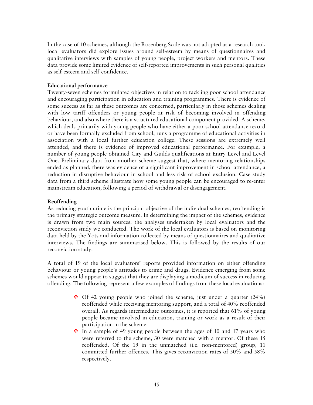In the case of 10 schemes, although the Rosenberg Scale was not adopted as a research tool, local evaluators did explore issues around self-esteem by means of questionnaires and qualitative interviews with samples of young people, project workers and mentors. These data provide some limited evidence of self-reported improvements in such personal qualities as self-esteem and self-confidence.

## **Educational performance**

Twenty-seven schemes formulated objectives in relation to tackling poor school attendance and encouraging participation in education and training programmes. There is evidence of some success as far as these outcomes are concerned, particularly in those schemes dealing with low tariff offenders or young people at risk of becoming involved in offending behaviour, and also where there is a structured educational component provided. A scheme, which deals primarily with young people who have either a poor school attendance record or have been formally excluded from school, runs a programme of educational activities in association with a local further education college. These sessions are extremely well attended, and there is evidence of improved educational performance. For example, a number of young people obtained City and Guilds qualifications at Entry Level and Level One. Preliminary data from another scheme suggest that, where mentoring relationships ended as planned, there was evidence of a significant improvement in school attendance, a reduction in disruptive behaviour in school and less risk of school exclusion. Case study data from a third scheme illustrate how some young people can be encouraged to re-enter mainstream education, following a period of withdrawal or disengagement.

## **Reoffending**

As reducing youth crime is the principal objective of the individual schemes, reoffending is the primary strategic outcome measure. In determining the impact of the schemes, evidence is drawn from two main sources: the analyses undertaken by local evaluators and the reconviction study we conducted. The work of the local evaluators is based on monitoring data held by the Yots and information collected by means of questionnaires and qualitative interviews. The findings are summarised below. This is followed by the results of our reconviction study.

A total of 19 of the local evaluators' reports provided information on either offending behaviour or young people's attitudes to crime and drugs. Evidence emerging from some schemes would appear to suggest that they are displaying a modicum of success in reducing offending. The following represent a few examples of findings from these local evaluations:

- $\cdot$  Of 42 young people who joined the scheme, just under a quarter (24%) reoffended while receiving mentoring support, and a total of 40% reoffended overall. As regards intermediate outcomes, it is reported that 61% of young people became involved in education, training or work as a result of their participation in the scheme.
- $\cdot \cdot$  In a sample of 49 young people between the ages of 10 and 17 years who were referred to the scheme, 30 were matched with a mentor. Of these 15 reoffended. Of the 19 in the unmatched (i.e. non-mentored) group, 11 committed further offences. This gives reconviction rates of 50% and 58% respectively.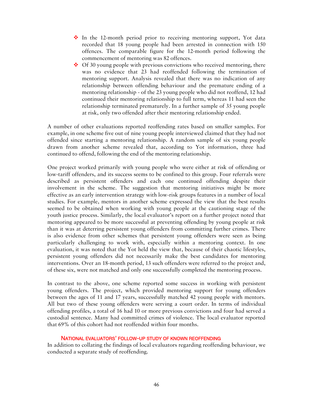- $\div$  In the 12-month period prior to receiving mentoring support, Yot data recorded that 18 young people had been arrested in connection with 150 offences. The comparable figure for the 12-month period following the commencement of mentoring was 82 offences.
- $\cdot$  Of 30 young people with previous convictions who received mentoring, there was no evidence that 23 had reoffended following the termination of mentoring support. Analysis revealed that there was no indication of any relationship between offending behaviour and the premature ending of a mentoring relationship - of the 23 young people who did not reoffend, 12 had continued their mentoring relationship to full term, whereas 11 had seen the relationship terminated prematurely. In a further sample of 35 young people at risk, only two offended after their mentoring relationship ended.

A number of other evaluations reported reoffending rates based on smaller samples. For example, in one scheme five out of nine young people interviewed claimed that they had not offended since starting a mentoring relationship. A random sample of six young people drawn from another scheme revealed that, according to Yot information, three had continued to offend, following the end of the mentoring relationship.

One project worked primarily with young people who were either at risk of offending or low-tariff offenders, and its success seems to be confined to this group. Four referrals were described as persistent offenders and each one continued offending despite their involvement in the scheme. The suggestion that mentoring initiatives might be more effective as an early intervention strategy with low-risk groups features in a number of local studies. For example, mentors in another scheme expressed the view that the best results seemed to be obtained when working with young people at the cautioning stage of the youth justice process. Similarly, the local evaluator's report on a further project noted that mentoring appeared to be more successful at preventing offending by young people at risk than it was at deterring persistent young offenders from committing further crimes. There is also evidence from other schemes that persistent young offenders were seen as being particularly challenging to work with, especially within a mentoring context. In one evaluation, it was noted that the Yot held the view that, because of their chaotic lifestyles, persistent young offenders did not necessarily make the best candidates for mentoring interventions. Over an 18-month period, 13 such offenders were referred to the project and, of these six, were not matched and only one successfully completed the mentoring process.

In contrast to the above, one scheme reported some success in working with persistent young offenders. The project, which provided mentoring support for young offenders between the ages of 11 and 17 years, successfully matched 42 young people with mentors. All but two of these young offenders were serving a court order. In terms of individual offending profiles, a total of 16 had 10 or more previous convictions and four had served a custodial sentence. Many had committed crimes of violence. The local evaluator reported that 69% of this cohort had not reoffended within four months.

## NATIONAL EVALUATORS' FOLLOW-UP STUDY OF KNOWN REOFFENDING

In addition to collating the findings of local evaluators regarding reoffending behaviour, we conducted a separate study of reoffending.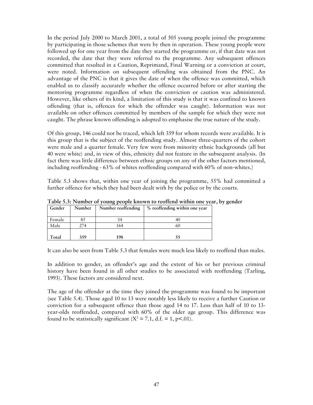In the period July 2000 to March 2001, a total of 505 young people joined the programme by participating in those schemes that were by then in operation. These young people were followed up for one year from the date they started the programme or, if that date was not recorded, the date that they were referred to the programme. Any subsequent offences committed that resulted in a Caution, Reprimand, Final Warning or a conviction at court, were noted. Information on subsequent offending was obtained from the PNC. An advantage of the PNC is that it gives the date of when the offence was committed, which enabled us to classify accurately whether the offence occurred before or after starting the mentoring programme regardless of when the conviction or caution was administered. However, like others of its kind, a limitation of this study is that it was confined to known offending (that is, offences for which the offender was caught). Information was not available on other offences committed by members of the sample for which they were not caught. The phrase known offending is adopted to emphasise the true nature of the study.

Of this group, 146 could not be traced, which left 359 for whom records were available. It is this group that is the subject of the reoffending study. Almost three-quarters of the cohort were male and a quarter female. Very few were from minority ethnic backgrounds (all but 40 were white) and, in view of this, ethnicity did not feature in the subsequent analysis. (In fact there was little difference between ethnic groups on any of the other factors mentioned, including reoffending - 63% of whites reoffending compared with 60% of non-whites.)

Table 5.3 shows that, within one year of joining the programme, 55% had committed a further offence for which they had been dealt with by the police or by the courts.

| Gender | Number | Number reoffending | % reoffending within one year |
|--------|--------|--------------------|-------------------------------|
| Female |        |                    |                               |
| Male   | 274    | 164                | 61.                           |
|        |        |                    |                               |
| Total  | 359    | 198                |                               |

**Table 5.3: Number of young people known to reoffend within one year, by gender** 

It can also be seen from Table 5.3 that females were much less likely to reoffend than males.

In addition to gender, an offender's age and the extent of his or her previous criminal history have been found in all other studies to be associated with reoffending (Tarling, 1993). These factors are considered next.

The age of the offender at the time they joined the programme was found to be important (see Table 5.4). Those aged 10 to 13 were notably less likely to receive a further Caution or conviction for a subsequent offence than those aged 14 to 17. Less than half of 10 to 13 year-olds reoffended, compared with 60% of the older age group. This difference was found to be statistically significant  $(X^2 = 7.1, d.f. = 1, p < 0.01)$ .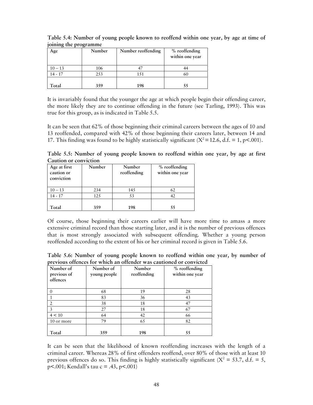| Age       | Number | Number reoffending | % reoffending<br>within one year |
|-----------|--------|--------------------|----------------------------------|
| $10 - 13$ | 106    |                    |                                  |
| 14 - 17   | 253    | 151                | 60                               |
|           |        |                    |                                  |
| Total     | 359    | 198                |                                  |

**Table 5.4: Number of young people known to reoffend within one year, by age at time of joining the programme** 

It is invariably found that the younger the age at which people begin their offending career, the more likely they are to continue offending in the future (see Tarling, 1993). This was true for this group, as is indicated in Table 5.5.

It can be seen that 62% of those beginning their criminal careers between the ages of 10 and 13 reoffended, compared with 42% of those beginning their careers later, between 14 and 17. This finding was found to be highly statistically significant  $(X^2 = 12.6, d.f. = 1, p < .001)$ .

**Table 5.5: Number of young people known to reoffend within one year, by age at first Caution or conviction** 

| Age at first<br>caution or<br>conviction | Number | Number<br>reoffending | % reoffending<br>within one year |
|------------------------------------------|--------|-----------------------|----------------------------------|
| $10 - 13$                                | 234    | 145                   | 62                               |
| $14 - 17$                                | 125    | 53                    |                                  |
| Total                                    | 359    | 198                   | 55                               |

Of course, those beginning their careers earlier will have more time to amass a more extensive criminal record than those starting later, and it is the number of previous offences that is most strongly associated with subsequent offending. Whether a young person reoffended according to the extent of his or her criminal record is given in Table 5.6.

**Table 5.6: Number of young people known to reoffend within one year, by number of previous offences for which an offender was cautioned or convicted** 

| Number of<br>previous of<br>offences | Number of<br>young people | Number<br>reoffending | % reoffending<br>within one year |
|--------------------------------------|---------------------------|-----------------------|----------------------------------|
|                                      | 68                        | 19                    | 28                               |
|                                      | 83                        | 36                    | 43                               |
|                                      | 38                        | 18                    | 47                               |
| $\overline{\mathbf{3}}$              | 27                        | 18                    | 67                               |
| 4 < 10                               | 64                        | 42                    | 66                               |
| 10 or more                           | 79                        | 65                    | 82                               |
| Total                                | 359                       | 198                   | 55                               |

It can be seen that the likelihood of known reoffending increases with the length of a criminal career. Whereas 28% of first offenders reoffend, over 80% of those with at least 10 previous offences do so. This finding is highly statistically significant ( $X^2 = 53.7$ , d.f. = 5, p<.001; Kendall's tau c = .43, p<.001)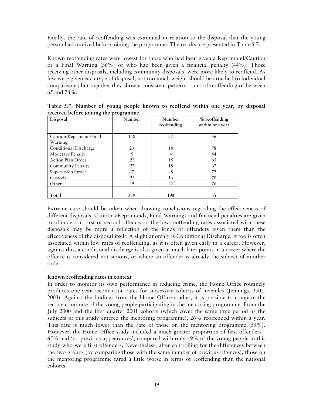Finally, the rate of reoffending was examined in relation to the disposal that the young person had received before joining the programme. The results are presented in Table 5.7.

Known reoffending rates were lowest for those who had been given a Reprimand/Caution or a Final Warning (36%) or who had been given a financial penalty (44%). Those receiving other disposals, including community disposals, were more likely to reoffend. As few were given each type of disposal, not too much weight should be attached to individual comparisons; but together they show a consistent pattern - rates of reoffending of between 65 and 78%.

| Disposal                 | Number | Number<br>reoffending | % reoffending<br>within one year |
|--------------------------|--------|-----------------------|----------------------------------|
| Caution/Reprimand/Final  | 158    | 57                    | 36                               |
| Warning                  |        |                       |                                  |
| Conditional Discharge    | 23     | 18                    | 78                               |
| Monetary Penalty         | 9      | 4                     | 44                               |
| <b>Action Plan Order</b> | 23     | 15                    | 65                               |
| <b>Community Penalty</b> | 27     | 18                    | 67                               |
| Supervision Order        | 67     | 48                    | 72                               |
| Custody                  | 23     | 16                    | 70                               |
| Other                    | 29     | 22                    | 76                               |
| Total                    | 359    | 198                   | 55                               |

**Table 5.7: Number of young people known to reoffend within one year, by disposal received before joining the programme** 

Extreme care should be taken when drawing conclusions regarding the effectiveness of different disposals. Cautions/Reprimands, Final Warnings and financial penalties are given to offenders at first or second offence, so the low reoffending rates associated with these disposals may be more a reflection of the kinds of offenders given them than the effectiveness of the disposal itself. A slight anomaly is Conditional Discharge. It too is often associated within low rates of reoffending, as it is often given early in a career. However, against this, a conditional discharge is also given at much later points in a career where the offence is considered not serious, or where an offender is already the subject of another order.

## **Known reoffending rates in context**

In order to monitor its own performance in reducing crime, the Home Office routinely produces one-year reconviction rates for successive cohorts of juveniles (Jennings, 2002, 2003). Against the findings from the Home Office studies, it is possible to compare the reconviction rate of the young people participating in the mentoring programme. From the July 2000 and the first quarter 2001 cohorts (which cover the same time period as the subjects of this study entered the mentoring programme), 26% reoffended within a year. This rate is much lower than the rate of those on the mentoring programme (55%). However, the Home Office study included a much greater proportion of first offenders - 65% had 'no previous appearances', compared with only 19% of the young people in this study who were first offenders. Nevertheless, after controlling for the differences between the two groups (by comparing those with the same number of previous offences), those on the mentoring programme fared a little worse in terms of reoffending than the national cohorts.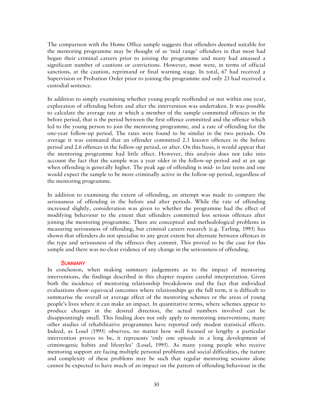The comparison with the Home Office sample suggests that offenders deemed suitable for the mentoring programme may be thought of as 'mid range' offenders in that most had begun their criminal careers prior to joining the programme and many had amassed a significant number of cautions or convictions. However, most were, in terms of official sanctions, at the caution, reprimand or final warning stage. In total, 67 had received a Supervision or Probation Order prior to joining the programme and only 23 had received a custodial sentence.

In addition to simply examining whether young people reoffended or not within one year, exploration of offending before and after the intervention was undertaken. It was possible to calculate the average rate at which a member of the sample committed offences in the before period, that is the period between the first offence committed and the offence which led to the young person to join the mentoring programme, and a rate of offending for the one-year follow-up period. The rates were found to be similar in the two periods. On average it was estimated that an offender committed 2.1 known offences in the before period and 2.6 offences in the follow-up period, or after. On this basis, it would appear that the mentoring programme had little effect. However, this analysis does not take into account the fact that the sample was a year older in the follow-up period and at an age when offending is generally higher. The peak age of offending is mid- to late teens and one would expect the sample to be more criminally active in the follow-up period, regardless of the mentoring programme.

In addition to examining the extent of offending, an attempt was made to compare the seriousness of offending in the before and after periods. While the rate of offending increased slightly, consideration was given to whether the programme had the effect of modifying behaviour to the extent that offenders committed less serious offences after joining the mentoring programme. There are conceptual and methodological problems in measuring seriousness of offending, but criminal careers research (e.g. Tarling, 1993) has shown that offenders do not specialise to any great extent but alternate between offences in the type and seriousness of the offences they commit. This proved to be the case for this sample and there was no clear evidence of any change in the seriousness of offending.

#### **SUMMARY**

In conclusion, when making summary judgements as to the impact of mentoring interventions, the findings described in this chapter require careful interpretation. Given both the incidence of mentoring relationship breakdowns and the fact that individual evaluations show equivocal outcomes where relationships go the full term, it is difficult to summarise the overall or average effect of the mentoring schemes or the areas of young people's lives where it can make an impact. In quantitative terms, where schemes appear to produce changes in the desired direction, the actual numbers involved can be disappointingly small. This finding does not only apply to mentoring interventions, many other studies of rehabilitative programmes have reported only modest statistical effects. Indeed, as Losel (1995) observes, no matter how well focused or lengthy a particular intervention proves to be, it represents 'only one episode in a long development of criminogenic habits and lifestyles' (Losel, 1995). As many young people who receive mentoring support are facing multiple personal problems and social difficulties, the nature and complexity of these problems may be such that regular mentoring sessions alone cannot be expected to have much of an impact on the pattern of offending behaviour in the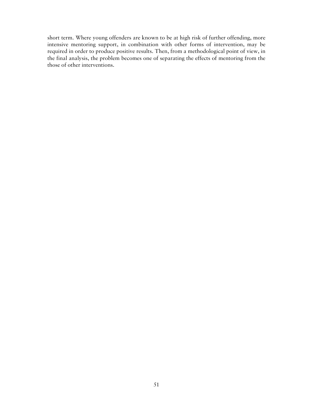short term. Where young offenders are known to be at high risk of further offending, more intensive mentoring support, in combination with other forms of intervention, may be required in order to produce positive results. Then, from a methodological point of view, in the final analysis, the problem becomes one of separating the effects of mentoring from the those of other interventions.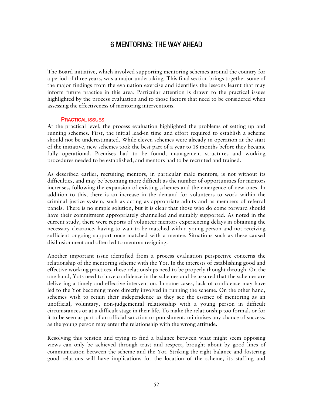## 6 MENTORING: THE WAY AHEAD

The Board initiative, which involved supporting mentoring schemes around the country for a period of three years, was a major undertaking. This final section brings together some of the major findings from the evaluation exercise and identifies the lessons learnt that may inform future practice in this area. Particular attention is drawn to the practical issues highlighted by the process evaluation and to those factors that need to be considered when assessing the effectiveness of mentoring interventions.

#### PRACTICAL ISSUES

At the practical level, the process evaluation highlighted the problems of setting up and running schemes. First, the initial lead-in time and effort required to establish a scheme should not be underestimated. While eleven schemes were already in operation at the start of the initiative, new schemes took the best part of a year to 18 months before they became fully operational. Premises had to be found, management structures and working procedures needed to be established, and mentors had to be recruited and trained.

As described earlier, recruiting mentors, in particular male mentors, is not without its difficulties, and may be becoming more difficult as the number of opportunities for mentors increases, following the expansion of existing schemes and the emergence of new ones. In addition to this, there is an increase in the demand for volunteers to work within the criminal justice system, such as acting as appropriate adults and as members of referral panels. There is no simple solution, but it is clear that those who do come forward should have their commitment appropriately channelled and suitably supported. As noted in the current study, there were reports of volunteer mentors experiencing delays in obtaining the necessary clearance, having to wait to be matched with a young person and not receiving sufficient ongoing support once matched with a mentee. Situations such as these caused disillusionment and often led to mentors resigning.

Another important issue identified from a process evaluation perspective concerns the relationship of the mentoring scheme with the Yot. In the interests of establishing good and effective working practices, these relationships need to be properly thought through. On the one hand, Yots need to have confidence in the schemes and be assured that the schemes are delivering a timely and effective intervention. In some cases, lack of confidence may have led to the Yot becoming more directly involved in running the scheme. On the other hand, schemes wish to retain their independence as they see the essence of mentoring as an unofficial, voluntary, non-judgemental relationship with a young person in difficult circumstances or at a difficult stage in their life. To make the relationship too formal, or for it to be seen as part of an official sanction or punishment, minimises any chance of success, as the young person may enter the relationship with the wrong attitude.

Resolving this tension and trying to find a balance between what might seem opposing views can only be achieved through trust and respect, brought about by good lines of communication between the scheme and the Yot. Striking the right balance and fostering good relations will have implications for the location of the scheme, its staffing and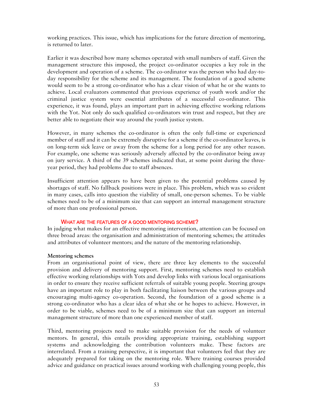working practices. This issue, which has implications for the future direction of mentoring, is returned to later.

Earlier it was described how many schemes operated with small numbers of staff. Given the management structure this imposed, the project co-ordinator occupies a key role in the development and operation of a scheme. The co-ordinator was the person who had day-today responsibility for the scheme and its management. The foundation of a good scheme would seem to be a strong co-ordinator who has a clear vision of what he or she wants to achieve. Local evaluators commented that previous experience of youth work and/or the criminal justice system were essential attributes of a successful co-ordinator. This experience, it was found, plays an important part in achieving effective working relations with the Yot. Not only do such qualified co-ordinators win trust and respect, but they are better able to negotiate their way around the youth justice system.

However, in many schemes the co-ordinator is often the only full-time or experienced member of staff and it can be extremely disruptive for a scheme if the co-ordinator leaves, is on long-term sick leave or away from the scheme for a long period for any other reason. For example, one scheme was seriously adversely affected by the co-ordinator being away on jury service. A third of the 39 schemes indicated that, at some point during the threeyear period, they had problems due to staff absences.

Insufficient attention appears to have been given to the potential problems caused by shortages of staff. No fallback positions were in place. This problem, which was so evident in many cases, calls into question the viability of small, one-person schemes. To be viable schemes need to be of a minimum size that can support an internal management structure of more than one professional person.

## WHAT ARE THE FEATURES OF A GOOD MENTORING SCHEME?

In judging what makes for an effective mentoring intervention, attention can be focused on three broad areas: the organisation and administration of mentoring schemes; the attitudes and attributes of volunteer mentors; and the nature of the mentoring relationship.

## **Mentoring schemes**

From an organisational point of view, there are three key elements to the successful provision and delivery of mentoring support. First, mentoring schemes need to establish effective working relationships with Yots and develop links with various local organisations in order to ensure they receive sufficient referrals of suitable young people. Steering groups have an important role to play in both facilitating liaison between the various groups and encouraging multi-agency co-operation. Second, the foundation of a good scheme is a strong co-ordinator who has a clear idea of what she or he hopes to achieve. However, in order to be viable, schemes need to be of a minimum size that can support an internal management structure of more than one experienced member of staff.

Third, mentoring projects need to make suitable provision for the needs of volunteer mentors. In general, this entails providing appropriate training, establishing support systems and acknowledging the contribution volunteers make. These factors are interrelated. From a training perspective, it is important that volunteers feel that they are adequately prepared for taking on the mentoring role. Where training courses provided advice and guidance on practical issues around working with challenging young people, this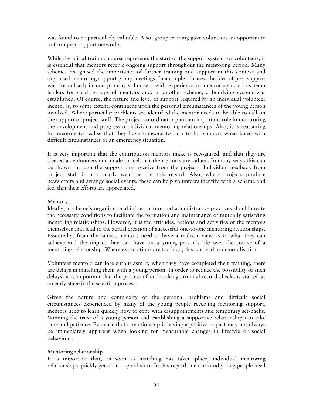was found to be particularly valuable. Also, group training gave volunteers an opportunity to form peer support networks.

While the initial training course represents the start of the support system for volunteers, it is essential that mentors receive ongoing support throughout the mentoring period. Many schemes recognised the importance of further training and support in this context and organised mentoring support group meetings. In a couple of cases, the idea of peer support was formalised; in one project, volunteers with experience of mentoring acted as team leaders for small groups of mentors and, in another scheme, a buddying system was established. Of course, the nature and level of support required by an individual volunteer mentor is, to some extent, contingent upon the personal circumstances of the young person involved. Where particular problems are identified the mentor needs to be able to call on the support of project staff. The project co-ordinator plays an important role in monitoring the development and progress of individual mentoring relationships. Also, it is reassuring for mentors to realise that they have someone to turn to for support when faced with difficult circumstances or an emergency situation.

It is very important that the contribution mentors make is recognised, and that they are treated as volunteers and made to feel that their efforts are valued. In many ways this can be shown through the support they receive from the projects. Individual feedback from project staff is particularly welcomed in this regard. Also, where projects produce newsletters and arrange social events, these can help volunteers identify with a scheme and feel that their efforts are appreciated.

## **Mentors**

Ideally, a scheme's organisational infrastructure and administrative practices should create the necessary conditions to facilitate the formation and maintenance of mutually satisfying mentoring relationships. However, it is the attitudes, actions and activities of the mentors themselves that lead to the actual creation of successful one-to-one mentoring relationships. Essentially, from the outset, mentors need to have a realistic view as to what they can achieve and the impact they can have on a young person's life over the course of a mentoring relationship. Where expectations are too high, this can lead to demoralisation.

Volunteer mentors can lose enthusiasm if, when they have completed their training, there are delays in matching them with a young person. In order to reduce the possibility of such delays, it is important that the process of undertaking criminal-record checks is started at an early stage in the selection process.

Given the nature and complexity of the personal problems and difficult social circumstances experienced by many of the young people receiving mentoring support, mentors need to learn quickly how to cope with disappointments and temporary set-backs. Winning the trust of a young person and establishing a supportive relationship can take time and patience. Evidence that a relationship is having a positive impact may not always be immediately apparent when looking for measurable changes in lifestyle or social behaviour.

## **Mentoring relationship**

It is important that, as soon as matching has taken place, individual mentoring relationships quickly get off to a good start. In this regard, mentors and young people need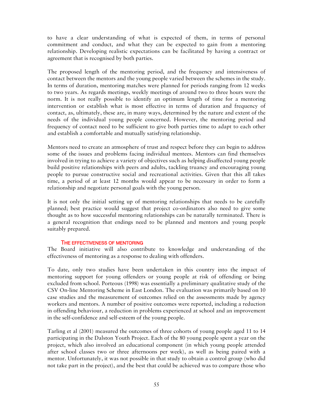to have a clear understanding of what is expected of them, in terms of personal commitment and conduct, and what they can be expected to gain from a mentoring relationship. Developing realistic expectations can be facilitated by having a contract or agreement that is recognised by both parties.

The proposed length of the mentoring period, and the frequency and intensiveness of contact between the mentors and the young people varied between the schemes in the study. In terms of duration, mentoring matches were planned for periods ranging from 12 weeks to two years. As regards meetings, weekly meetings of around two to three hours were the norm. It is not really possible to identify an optimum length of time for a mentoring intervention or establish what is most effective in terms of duration and frequency of contact, as, ultimately, these are, in many ways, determined by the nature and extent of the needs of the individual young people concerned. However, the mentoring period and frequency of contact need to be sufficient to give both parties time to adapt to each other and establish a comfortable and mutually satisfying relationship.

Mentors need to create an atmosphere of trust and respect before they can begin to address some of the issues and problems facing individual mentees. Mentors can find themselves involved in trying to achieve a variety of objectives such as helping disaffected young people build positive relationships with peers and adults, tackling truancy and encouraging young people to pursue constructive social and recreational activities. Given that this all takes time, a period of at least 12 months would appear to be necessary in order to form a relationship and negotiate personal goals with the young person.

It is not only the initial setting up of mentoring relationships that needs to be carefully planned; best practice would suggest that project co-ordinators also need to give some thought as to how successful mentoring relationships can be naturally terminated. There is a general recognition that endings need to be planned and mentors and young people suitably prepared.

## THE EFFECTIVENESS OF MENTORING

The Board initiative will also contribute to knowledge and understanding of the effectiveness of mentoring as a response to dealing with offenders.

To date, only two studies have been undertaken in this country into the impact of mentoring support for young offenders or young people at risk of offending or being excluded from school. Porteous (1998) was essentially a preliminary qualitative study of the CSV On-line Mentoring Scheme in East London. The evaluation was primarily based on 10 case studies and the measurement of outcomes relied on the assessments made by agency workers and mentors. A number of positive outcomes were reported, including a reduction in offending behaviour, a reduction in problems experienced at school and an improvement in the self-confidence and self-esteem of the young people.

Tarling et al (2001) measured the outcomes of three cohorts of young people aged 11 to 14 participating in the Dalston Youth Project. Each of the 80 young people spent a year on the project, which also involved an educational component (in which young people attended after school classes two or three afternoons per week), as well as being paired with a mentor. Unfortunately, it was not possible in that study to obtain a control group (who did not take part in the project), and the best that could be achieved was to compare those who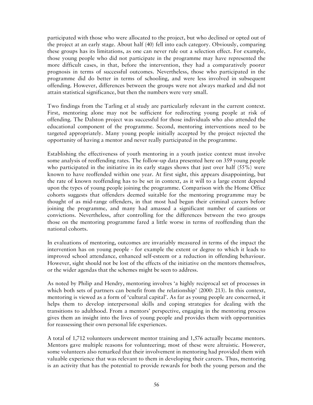participated with those who were allocated to the project, but who declined or opted out of the project at an early stage. About half (40) fell into each category. Obviously, comparing these groups has its limitations, as one can never rule out a selection effect. For example, those young people who did not participate in the programme may have represented the more difficult cases, in that, before the intervention, they had a comparatively poorer prognosis in terms of successful outcomes. Nevertheless, those who participated in the programme did do better in terms of schooling, and were less involved in subsequent offending. However, differences between the groups were not always marked and did not attain statistical significance, but then the numbers were very small.

Two findings from the Tarling et al study are particularly relevant in the current context. First, mentoring alone may not be sufficient for redirecting young people at risk of offending. The Dalston project was successful for those individuals who also attended the educational component of the programme. Second, mentoring interventions need to be targeted appropriately. Many young people initially accepted by the project rejected the opportunity of having a mentor and never really participated in the programme.

Establishing the effectiveness of youth mentoring in a youth justice context must involve some analysis of reoffending rates. The follow-up data presented here on 359 young people who participated in the initiative in its early stages shows that just over half (55%) were known to have reoffended within one year. At first sight, this appears disappointing, but the rate of known reoffending has to be set in context, as it will to a large extent depend upon the types of young people joining the programme. Comparison with the Home Office cohorts suggests that offenders deemed suitable for the mentoring programme may be thought of as mid-range offenders, in that most had begun their criminal careers before joining the programme, and many had amassed a significant number of cautions or convictions. Nevertheless, after controlling for the differences between the two groups those on the mentoring programme fared a little worse in terms of reoffending than the national cohorts.

In evaluations of mentoring, outcomes are invariably measured in terms of the impact the intervention has on young people - for example the extent or degree to which it leads to improved school attendance, enhanced self-esteem or a reduction in offending behaviour. However, sight should not be lost of the effects of the initiative on the mentors themselves, or the wider agendas that the schemes might be seen to address.

As noted by Philip and Hendry, mentoring involves 'a highly reciprocal set of processes in which both sets of partners can benefit from the relationship' (2000: 213). In this context, mentoring is viewed as a form of 'cultural capital'. As far as young people are concerned, it helps them to develop interpersonal skills and coping strategies for dealing with the transitions to adulthood. From a mentors' perspective, engaging in the mentoring process gives them an insight into the lives of young people and provides them with opportunities for reassessing their own personal life experiences.

A total of 1,712 volunteers underwent mentor training and 1,576 actually became mentors. Mentors gave multiple reasons for volunteering; most of these were altruistic. However, some volunteers also remarked that their involvement in mentoring had provided them with valuable experience that was relevant to them in developing their careers. Thus, mentoring is an activity that has the potential to provide rewards for both the young person and the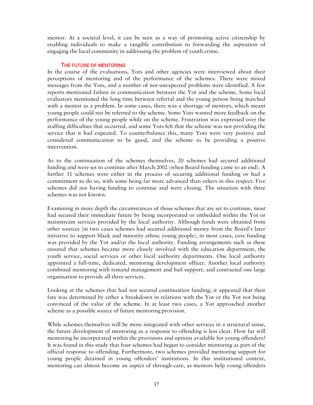mentor. At a societal level, it can be seen as a way of promoting active citizenship by enabling individuals to make a tangible contribution to forwarding the aspiration of engaging the local community in addressing the problem of youth crime.

## THE FUTURE OF MENTORING

In the course of the evaluations, Yots and other agencies were interviewed about their perceptions of mentoring and of the performance of the schemes. There were mixed messages from the Yots, and a number of not-unexpected problems were identified. A few reports mentioned failure in communication between the Yot and the scheme. Some local evaluators mentioned the long time between referral and the young person being matched with a mentor as a problem. In some cases, there was a shortage of mentors, which meant young people could not be referred to the scheme. Some Yots wanted more feedback on the performance of the young people while on the scheme. Frustration was expressed over the staffing difficulties that occurred, and some Yots felt that the scheme was not providing the service that it had expected. To counterbalance this, many Yots were very positive and considered communication to be good, and the scheme to be providing a positive intervention.

As to the continuation of the schemes themselves, 20 schemes had secured additional funding and were set to continue after March 2002 (when Board funding came to an end). A further 11 schemes were either in the process of securing additional funding or had a commitment to do so, with some being far more advanced than others in this respect. Five schemes did not having funding to continue and were closing. The situation with three schemes was not known.

Examining in more depth the circumstances of those schemes that are set to continue, most had secured their immediate future by being incorporated or embedded within the Yot or mainstream services provided by the local authority. Although funds were obtained from other sources (in two cases schemes had secured additional money from the Board's later initiative to support black and minority ethnic young people), in most cases, core funding was provided by the Yot and/or the local authority. Funding arrangements such as these ensured that schemes became more closely involved with the education department, the youth service, social services or other local authority departments. One local authority appointed a full-time, dedicated, mentoring development officer. Another local authority combined mentoring with remand management and bail support, and contracted one large organisation to provide all three services.

Looking at the schemes that had not secured continuation funding, it appeared that their fate was determined by either a breakdown in relations with the Yot or the Yot not being convinced of the value of the scheme. In at least two cases, a Yot approached another scheme as a possible source of future mentoring provision.

While schemes themselves will be more integrated with other services in a structural sense, the future development of mentoring as a response to offending is less clear. How far will mentoring be incorporated within the provisions and options available for young offenders? It was found in this study that four schemes had begun to consider mentoring as part of the official response to offending. Furthermore, two schemes provided mentoring support for young people detained in young offenders' institutions. In this institutional context, mentoring can almost become an aspect of through-care, as mentors help young offenders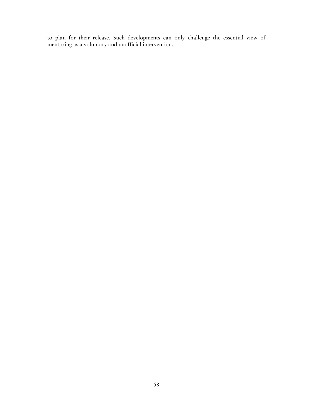to plan for their release. Such developments can only challenge the essential view of mentoring as a voluntary and unofficial intervention.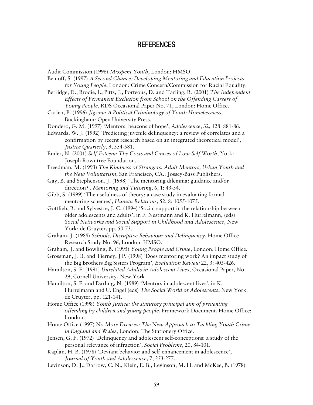## REFERENCES

- Audit Commission (1996) *Misspent Youth*, London: HMSO.
- Benioff, S. (1997) *A Second Chance: Developing Mentoring and Education Projects for Young People*, London: Crime Concern/Commission for Racial Equality.
- Berridge, D., Brodie, I., Pitts, J., Porteous, D. and Tarling, R. (2001) *The Independent Effects of Permanent Exclusion from School on the Offending Careers of Young People*, RDS Occasional Paper No. 71, London: Home Office.
- Carlen, P. (1996) *Jigsaw: A Political Criminology of Youth Homelessness*, Buckingham: Open University Press.
- Dondero, G. M. (1997) 'Mentors: beacons of hope', *Adolescence*, 32, 128: 881-86.
- Edwards, W. J. (1992) 'Predicting juvenile delinquency: a review of correlates and a confirmation by recent research based on an integrated theoretical model', *Justice Quarterly*, 9, 554-581.
- Emler, N. (2001) *Self-Esteem: The Costs and Causes of Low-Self Worth*, York: Joseph Rowntree Foundation.
- Freedman, M. (1993) *The Kindness of Strangers: Adult Mentors, Urban Youth and the New Voluntarism*, San Francisco, CA.: Jossey-Bass Publishers.
- Gay, B. and Stephenson, J. (1998) 'The mentoring dilemma: guidance and/or direction?', *Mentoring and Tutoring*, 6, 1: 43-54.
- Gibb, S. (1999) 'The usefulness of theory: a case study in evaluating formal mentoring schemes', *Human Relations*, 52, 8: 1055-1075.
- Gottlieb, B. and Sylvestre, J. C. (1994) 'Social support in the relationship between older adolescents and adults', in F. Nestmann and K. Hurrelmann, (eds) *Social Networks and Social Support in Childhood and Adolescence*, New York: de Gruyter, pp. 50-73.
- Graham, J. (1988) *Schools, Disruptive Behaviour and Delinquency*, Home Office Research Study No. 96, London: HMSO.
- Graham, J. and Bowling, B. (1995) *Young People and Crime*, London: Home Office.
- Grossman, J. B. and Tierney, J P. (1998) 'Does mentoring work? An impact study of the Big Brothers Big Sisters Program', *Evaluation Review* 22, 3: 403-426.
- Hamilton, S. F. (1991) *Unrelated Adults in Adolescent Lives*, Occasional Paper, No. 29, Cornell University, New York
- Hamilton, S. F. and Darling, N. (1989) 'Mentors in adolescent lives', in K. Hurrelmann and U. Engel (eds) *The Social World of Adolescents*, New York: de Gruyter, pp. 121-141.
- Home Office (1998) *Youth Justice: the statutory principal aim of preventing offending by children and young people*, Framework Document, Home Office: London.
- Home Office (1997) *No More Excuses: The New Approach to Tackling Youth Crime in England and Wales*, London: The Stationery Office.
- Jensen, G. F. (1972) 'Delinquency and adolescent self-conceptions: a study of the personal relevance of infraction', *Social Problems*, 20, 84-101.
- Kaplan, H. B. (1978) 'Deviant behavior and self-enhancement in adolescence', *Journal of Youth and Adolescence*, 7, 253-277.
- Levinson, D. J., Darrow, C. N., Klein, E. B., Levinson, M. H. and McKee, B. (1978)